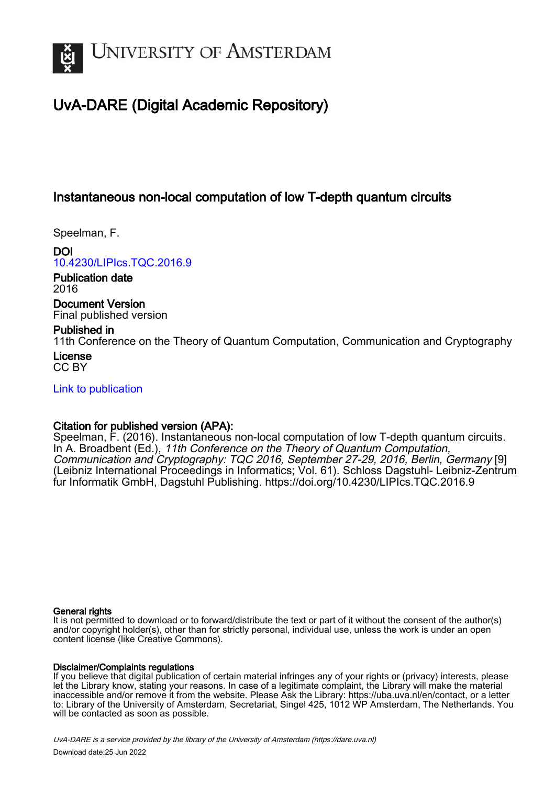

# UvA-DARE (Digital Academic Repository)

## Instantaneous non-local computation of low T-depth quantum circuits

Speelman, F.

DOI [10.4230/LIPIcs.TQC.2016.9](https://doi.org/10.4230/LIPIcs.TQC.2016.9)

Publication date 2016

Document Version Final published version

## Published in

11th Conference on the Theory of Quantum Computation, Communication and Cryptography License

CC BY

[Link to publication](https://dare.uva.nl/personal/pure/en/publications/instantaneous-nonlocal-computation-of-low-tdepth-quantum-circuits(b7e6bacf-b889-42d9-9ac5-5eb010d49224).html)

## Citation for published version (APA):

Speelman, F. (2016). Instantaneous non-local computation of low T-depth quantum circuits. In A. Broadbent (Ed.), 11th Conference on the Theory of Quantum Computation, Communication and Cryptography: TQC 2016, September 27-29, 2016, Berlin, Germany [9] (Leibniz International Proceedings in Informatics; Vol. 61). Schloss Dagstuhl- Leibniz-Zentrum fur Informatik GmbH, Dagstuhl Publishing.<https://doi.org/10.4230/LIPIcs.TQC.2016.9>

### General rights

It is not permitted to download or to forward/distribute the text or part of it without the consent of the author(s) and/or copyright holder(s), other than for strictly personal, individual use, unless the work is under an open content license (like Creative Commons).

## Disclaimer/Complaints regulations

If you believe that digital publication of certain material infringes any of your rights or (privacy) interests, please let the Library know, stating your reasons. In case of a legitimate complaint, the Library will make the material inaccessible and/or remove it from the website. Please Ask the Library: https://uba.uva.nl/en/contact, or a letter to: Library of the University of Amsterdam, Secretariat, Singel 425, 1012 WP Amsterdam, The Netherlands. You will be contacted as soon as possible.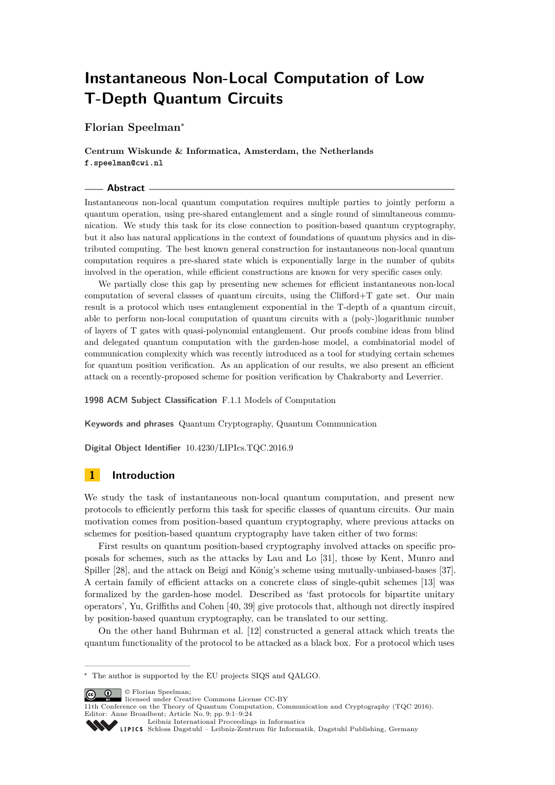# **Instantaneous Non-Local Computation of Low T-Depth Quantum Circuits**

**Florian Speelman**<sup>∗</sup>

**Centrum Wiskunde & Informatica, Amsterdam, the Netherlands f.speelman@cwi.nl**

#### **Abstract**

Instantaneous non-local quantum computation requires multiple parties to jointly perform a quantum operation, using pre-shared entanglement and a single round of simultaneous communication. We study this task for its close connection to position-based quantum cryptography, but it also has natural applications in the context of foundations of quantum physics and in distributed computing. The best known general construction for instantaneous non-local quantum computation requires a pre-shared state which is exponentially large in the number of qubits involved in the operation, while efficient constructions are known for very specific cases only.

We partially close this gap by presenting new schemes for efficient instantaneous non-local computation of several classes of quantum circuits, using the Clifford $+T$  gate set. Our main result is a protocol which uses entanglement exponential in the T-depth of a quantum circuit, able to perform non-local computation of quantum circuits with a (poly-)logarithmic number of layers of T gates with quasi-polynomial entanglement. Our proofs combine ideas from blind and delegated quantum computation with the garden-hose model, a combinatorial model of communication complexity which was recently introduced as a tool for studying certain schemes for quantum position verification. As an application of our results, we also present an efficient attack on a recently-proposed scheme for position verification by Chakraborty and Leverrier.

**1998 ACM Subject Classification** F.1.1 Models of Computation

**Keywords and phrases** Quantum Cryptography, Quantum Communication

**Digital Object Identifier** [10.4230/LIPIcs.TQC.2016.9](http://dx.doi.org/10.4230/LIPIcs.TQC.2016.9)

## **1 Introduction**

We study the task of instantaneous non-local quantum computation, and present new protocols to efficiently perform this task for specific classes of quantum circuits. Our main motivation comes from position-based quantum cryptography, where previous attacks on schemes for position-based quantum cryptography have taken either of two forms:

First results on quantum position-based cryptography involved attacks on specific proposals for schemes, such as the attacks by Lau and Lo [\[31\]](#page-24-0), those by Kent, Munro and Spiller [\[28\]](#page-24-1), and the attack on Beigi and König's scheme using mutually-unbiased-bases [\[37\]](#page-24-2). A certain family of efficient attacks on a concrete class of single-qubit schemes [\[13\]](#page-23-0) was formalized by the garden-hose model. Described as 'fast protocols for bipartite unitary operators', Yu, Griffiths and Cohen [\[40,](#page-24-3) [39\]](#page-24-4) give protocols that, although not directly inspired by position-based quantum cryptography, can be translated to our setting.

On the other hand Buhrman et al. [\[12\]](#page-23-1) constructed a general attack which treats the quantum functionality of the protocol to be attacked as a black box. For a protocol which uses

 $\boxed{\text{ }$   $\text{ }$   $\text{ }$   $\text{ }$   $\text{ }$   $\text{ }$   $\text{ }$   $\text{ }$   $\text{ }$   $\text{ }$   $\text{ }$   $\text{ }$   $\text{ }$   $\text{ }$   $\text{ }$   $\text{ }$   $\text{ }$   $\text{ }$   $\text{ }$   $\text{ }$   $\text{ }$   $\text{ }$   $\text{ }$   $\text{ }$   $\text{ }$   $\text{ }$   $\text{ }$   $\text{ }$   $\text{ }$   $\text{ }$   $\text{ }$   $\text$ 

<sup>∗</sup> The author is supported by the EU projects SIQS and QALGO.

licensed under Creative Commons License CC-BY

<sup>11</sup>th Conference on the Theory of Quantum Computation, Communication and Cryptography (TQC 2016). Editor: Anne Broadbent; Article No. 9; pp. 9:1–9[:24](#page-24-5)

[Leibniz International Proceedings in Informatics](http://www.dagstuhl.de/lipics/) [Schloss Dagstuhl – Leibniz-Zentrum für Informatik, Dagstuhl Publishing, Germany](http://www.dagstuhl.de)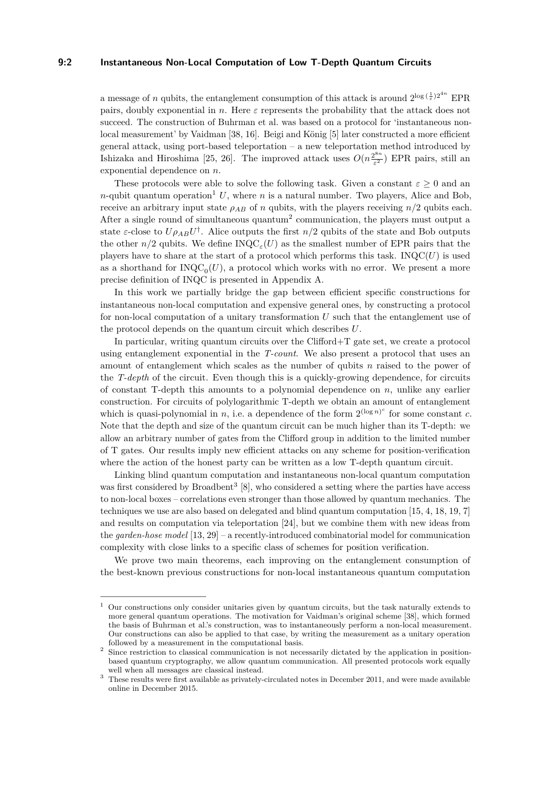#### **9:2 Instantaneous Non-Local Computation of Low T-Depth Quantum Circuits**

a message of *n* qubits, the entanglement consumption of this attack is around  $2^{\log(\frac{1}{\varepsilon})2^{4n}}$  EPR pairs, doubly exponential in *n*. Here *ε* represents the probability that the attack does not succeed. The construction of Buhrman et al. was based on a protocol for 'instantaneous nonlocal measurement' by Vaidman [\[38,](#page-24-6) [16\]](#page-23-2). Beigi and König [\[5\]](#page-22-0) later constructed a more efficient general attack, using port-based teleportation – a new teleportation method introduced by Ishizaka and Hiroshima [\[25,](#page-23-3) [26\]](#page-23-4). The improved attack uses  $O(n^{\frac{2^{8n}}{5}})$  $\frac{2^{6n}}{\varepsilon^2}$ ) EPR pairs, still an exponential dependence on *n*.

These protocols were able to solve the following task. Given a constant  $\varepsilon \geq 0$  and an *n*-qubit quantum operation<sup>[1](#page-2-0)</sup> U, where *n* is a natural number. Two players, Alice and Bob, receive an arbitrary input state  $\rho_{AB}$  of *n* qubits, with the players receiving  $n/2$  qubits each. After a single round of simultaneous quantum<sup>[2](#page-2-1)</sup> communication, the players must output a state *ε*-close to  $U \rho_{AB} U^{\dagger}$ . Alice outputs the first *n/*2 qubits of the state and Bob outputs the other  $n/2$  qubits. We define  $\text{INQC}_{\varepsilon}(U)$  as the smallest number of EPR pairs that the players have to share at the start of a protocol which performs this task. INQC $(U)$  is used as a shorthand for  $INQC_0(U)$ , a protocol which works with no error. We present a more precise definition of INQC is presented in Appendix [A.](#page-15-0)

In this work we partially bridge the gap between efficient specific constructions for instantaneous non-local computation and expensive general ones, by constructing a protocol for non-local computation of a unitary transformation *U* such that the entanglement use of the protocol depends on the quantum circuit which describes *U*.

In particular, writing quantum circuits over the Clifford+T gate set, we create a protocol using entanglement exponential in the *T-count*. We also present a protocol that uses an amount of entanglement which scales as the number of qubits *n* raised to the power of the *T-depth* of the circuit. Even though this is a quickly-growing dependence, for circuits of constant T-depth this amounts to a polynomial dependence on *n*, unlike any earlier construction. For circuits of polylogarithmic T-depth we obtain an amount of entanglement which is quasi-polynomial in *n*, i.e. a dependence of the form  $2^{(\log n)^c}$  for some constant *c*. Note that the depth and size of the quantum circuit can be much higher than its T-depth: we allow an arbitrary number of gates from the Clifford group in addition to the limited number of T gates. Our results imply new efficient attacks on any scheme for position-verification where the action of the honest party can be written as a low T-depth quantum circuit.

Linking blind quantum computation and instantaneous non-local quantum computation was first considered by Broadbent<sup>[3](#page-2-2)</sup> [\[8\]](#page-22-1), who considered a setting where the parties have access to non-local boxes – correlations even stronger than those allowed by quantum mechanics. The techniques we use are also based on delegated and blind quantum computation [\[15,](#page-23-5) [4,](#page-22-2) [18,](#page-23-6) [19,](#page-23-7) [7\]](#page-22-3) and results on computation via teleportation [\[24\]](#page-23-8), but we combine them with new ideas from the *garden-hose model* [\[13,](#page-23-0) [29\]](#page-24-7) – a recently-introduced combinatorial model for communication complexity with close links to a specific class of schemes for position verification.

We prove two main theorems, each improving on the entanglement consumption of the best-known previous constructions for non-local instantaneous quantum computation

<span id="page-2-0"></span><sup>1</sup> Our constructions only consider unitaries given by quantum circuits, but the task naturally extends to more general quantum operations. The motivation for Vaidman's original scheme [\[38\]](#page-24-6), which formed the basis of Buhrman et al.'s construction, was to instantaneously perform a non-local measurement. Our constructions can also be applied to that case, by writing the measurement as a unitary operation followed by a measurement in the computational basis.

<span id="page-2-1"></span><sup>&</sup>lt;sup>2</sup> Since restriction to classical communication is not necessarily dictated by the application in positionbased quantum cryptography, we allow quantum communication. All presented protocols work equally well when all messages are classical instead.

<span id="page-2-2"></span><sup>&</sup>lt;sup>3</sup> These results were first available as privately-circulated notes in December 2011, and were made available online in December 2015.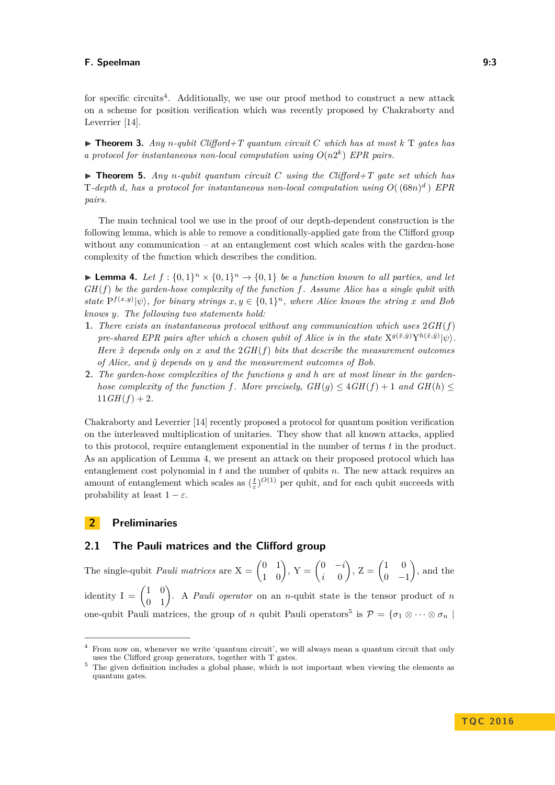for specific circuits<sup>[4](#page-3-0)</sup>. Additionally, we use our proof method to construct a new attack on a scheme for position verification which was recently proposed by Chakraborty and Leverrier [\[14\]](#page-23-9).

 $\triangleright$  **Theorem 3.** *Any n*-*qubit Clifford+T quantum circuit C* which has at most  $k$  T gates has *a protocol for instantaneous non-local computation using*  $O(n2^k)$  *EPR pairs.* 

 $\triangleright$  **Theorem 5.** *Any n*-qubit quantum circuit *C* using the Clifford+T gate set which has T-depth *d*, has a protocol for instantaneous non-local computation using  $O((68n)^d)$  EPR *pairs.*

The main technical tool we use in the proof of our depth-dependent construction is the following lemma, which is able to remove a conditionally-applied gate from the Clifford group without any communication – at an entanglement cost which scales with the garden-hose complexity of the function which describes the condition.

**Lemma 4.** Let  $f : \{0,1\}^n \times \{0,1\}^n \rightarrow \{0,1\}$  be a function known to all parties, and let *GH*(*f*) *be the garden-hose complexity of the function f. Assume Alice has a single qubit with state*  $P^{f(x,y)}|\psi\rangle$ , for binary strings  $x, y \in \{0,1\}^n$ , where Alice knows the string x and Bob *knows y. The following two statements hold:*

- **1.** *There exists an instantaneous protocol without any communication which uses* 2*GH*(*f*) *pre-shared EPR pairs after which a chosen qubit of Alice is in the state*  $X^{g(\hat{x},\hat{y})}Y^{h(\hat{x},\hat{y})}|\psi\rangle$ . *Here*  $\hat{x}$  *depends only on*  $x$  *and the*  $2GH(f)$  *bits that describe the measurement outcomes of Alice, and y*ˆ *depends on y and the measurement outcomes of Bob.*
- **2.** *The garden-hose complexities of the functions g and h are at most linear in the gardenhose complexity of the function f. More precisely,*  $GH(q) \leq 4GH(f) + 1$  and  $GH(h) \leq$  $11GH(f) + 2.$

Chakraborty and Leverrier [\[14\]](#page-23-9) recently proposed a protocol for quantum position verification on the interleaved multiplication of unitaries. They show that all known attacks, applied to this protocol, require entanglement exponential in the number of terms *t* in the product. As an application of Lemma [4,](#page-9-0) we present an attack on their proposed protocol which has entanglement cost polynomial in *t* and the number of qubits *n*. The new attack requires an amount of entanglement which scales as  $(\frac{t}{\varepsilon})^{O(1)}$  per qubit, and for each qubit succeeds with probability at least  $1 - \varepsilon$ .

#### **2 Preliminaries**

## **2.1 The Pauli matrices and the Clifford group**

The single-qubit *Pauli matrices* are  $X = \begin{pmatrix} 0 & 1 \\ 1 & 0 \end{pmatrix}$ ,  $Y = \begin{pmatrix} 0 & -i \\ i & 0 \end{pmatrix}$ *i* 0  $\left( \begin{array}{cc} 1 & 0 \\ 0 & 0 \end{array} \right)$  $0 -1$  , and the identity  $I = \begin{pmatrix} 1 & 0 \\ 0 & 1 \end{pmatrix}$ . A *Pauli operator* on an *n*-qubit state is the tensor product of *n* one-qubit Pauli matrices, the group of *n* qubit Pauli operators<sup>[5](#page-3-1)</sup> is  $P = \{\sigma_1 \otimes \cdots \otimes \sigma_n\mid \sigma_1 \otimes \cdots \otimes \sigma_n\}$ 

<span id="page-3-0"></span><sup>4</sup> From now on, whenever we write 'quantum circuit', we will always mean a quantum circuit that only uses the Clifford group generators, together with T gates.

<span id="page-3-1"></span><sup>&</sup>lt;sup>5</sup> The given definition includes a global phase, which is not important when viewing the elements as quantum gates.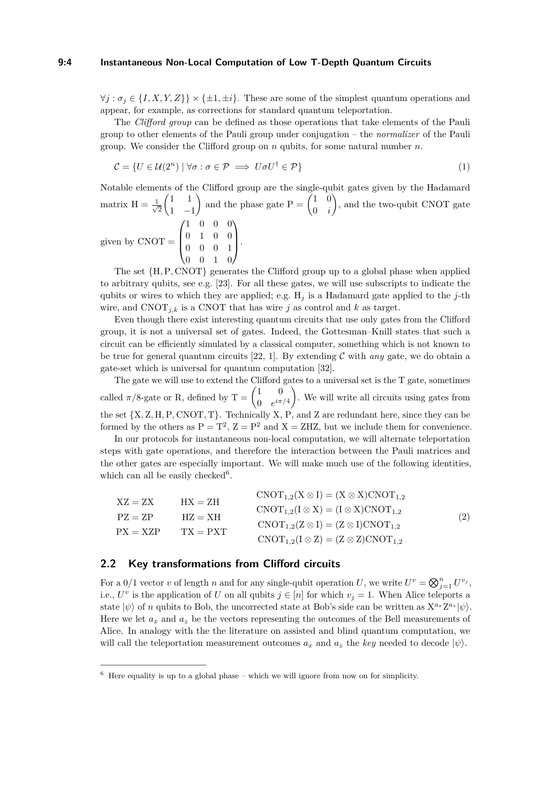#### **9:4 Instantaneous Non-Local Computation of Low T-Depth Quantum Circuits**

 $\forall j : \sigma_i \in \{I, X, Y, Z\} \times \{\pm 1, \pm i\}.$  These are some of the simplest quantum operations and appear, for example, as corrections for standard quantum teleportation.

The *Clifford group* can be defined as those operations that take elements of the Pauli group to other elements of the Pauli group under conjugation – the *normalizer* of the Pauli group. We consider the Clifford group on *n* qubits, for some natural number *n*.

<span id="page-4-3"></span>
$$
\mathcal{C} = \{ U \in \mathcal{U}(2^n) \mid \forall \sigma : \sigma \in \mathcal{P} \implies U \sigma U^\dagger \in \mathcal{P} \}
$$
\n<sup>(1)</sup>

Notable elements of the Clifford group are the single-qubit gates given by the Hadamard matrix  $H = \frac{1}{\sqrt{2}}$ 2  $(1 \ 1)$ 1 −1 ) and the phase gate  $P = \begin{pmatrix} 1 & 0 \\ 0 & 0 \end{pmatrix}$ 0 *i* ), and the two-qubit CNOT gate given by  $CNOT =$  $\sqrt{ }$  $\overline{\phantom{a}}$ 1 0 0 0 0 1 0 0 0 0 0 1 0 0 1 0  $\setminus$  $\left| \cdot \right|$ 

The set {H*,*P*,* CNOT} generates the Clifford group up to a global phase when applied to arbitrary qubits, see e.g. [\[23\]](#page-23-10). For all these gates, we will use subscripts to indicate the qubits or wires to which they are applied; e.g. H*<sup>j</sup>* is a Hadamard gate applied to the *j*-th wire, and CNOT<sub>j,k</sub> is a CNOT that has wire *j* as control and *k* as target.

Even though there exist interesting quantum circuits that use only gates from the Clifford group, it is not a universal set of gates. Indeed, the Gottesman–Knill states that such a circuit can be efficiently simulated by a classical computer, something which is not known to be true for general quantum circuits  $[22, 1]$  $[22, 1]$  $[22, 1]$ . By extending C with *any* gate, we do obtain a gate-set which is universal for quantum computation [\[32\]](#page-24-8).

The gate we will use to extend the Clifford gates to a universal set is the T gate, sometimes called  $\pi/8$ -gate or R, defined by  $T = \begin{pmatrix} 1 & 0 \\ 0 & i\pi \end{pmatrix}$ 0  $e^{i\pi/4}$  . We will write all circuits using gates from the set {X*,* Z*,* H*,*P*,* CNOT*,* T}. Technically X, P, and Z are redundant here, since they can be formed by the others as  $P = T^2$ ,  $Z = P^2$  and  $X = ZHZ$ , but we include them for convenience.

In our protocols for instantaneous non-local computation, we will alternate teleportation steps with gate operations, and therefore the interaction between the Pauli matrices and the other gates are especially important. We will make much use of the following identities, which can all be easily checked<sup>[6](#page-4-0)</sup>.

<span id="page-4-1"></span>

| $XZ = ZX$  | $HX = ZH$  | $CNOT_{1,2}(X \otimes I) = (X \otimes X)CNOT_{1,2}$ |     |
|------------|------------|-----------------------------------------------------|-----|
|            |            | $CNOT_{1,2}(I \otimes X) = (I \otimes X)CNOT_{1,2}$ |     |
| $PZ = ZP$  | $HZ = XH$  | $CNOT_{1,2}(Z \otimes I) = (Z \otimes I)CNOT_{1,2}$ | (2) |
| $PX = XZP$ | $TX = PXT$ | $CNOT_{1,2}(I \otimes Z) = (Z \otimes Z)CNOT_{1,2}$ |     |

#### <span id="page-4-2"></span>**2.2 Key transformations from Clifford circuits**

For a  $0/1$  vector *v* of length *n* and for any single-qubit operation *U*, we write  $U^v = \bigotimes_{j=1}^n U^{v_j}$ , i.e.,  $U^v$  is the application of *U* on all qubits  $j \in [n]$  for which  $v_j = 1$ . When Alice teleports a state  $|\psi\rangle$  of *n* qubits to Bob, the uncorrected state at Bob's side can be written as  $X^{a_x}Z^{a_z}|\psi\rangle$ . Here we let  $a_x$  and  $a_z$  be the vectors representing the outcomes of the Bell measurements of Alice. In analogy with the the literature on assisted and blind quantum computation, we will call the teleportation measurement outcomes  $a_x$  and  $a_z$  the *key* needed to decode  $|\psi\rangle$ .

<span id="page-4-0"></span> $6$  Here equality is up to a global phase – which we will ignore from now on for simplicity.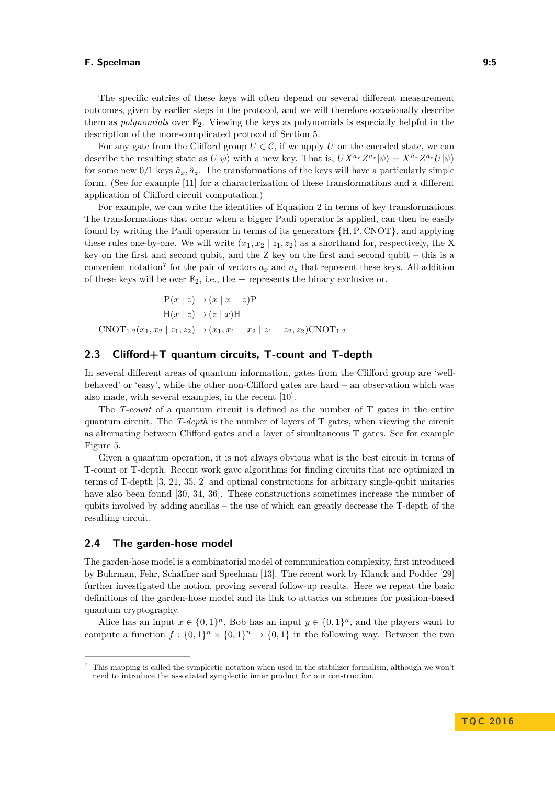The specific entries of these keys will often depend on several different measurement outcomes, given by earlier steps in the protocol, and we will therefore occasionally describe them as *polynomials* over F2. Viewing the keys as polynomials is especially helpful in the description of the more-complicated protocol of Section [5.](#page-12-0)

For any gate from the Clifford group  $U \in \mathcal{C}$ , if we apply *U* on the encoded state, we can describe the resulting state as  $U|\psi\rangle$  with a new key. That is,  $UX^{a_x}Z^{a_z}|\psi\rangle = X^{\hat{a}_x}Z^{\hat{a}_z}U|\psi\rangle$ for some new  $0/1$  keys  $\hat{a}_x, \hat{a}_z$ . The transformations of the keys will have a particularly simple form. (See for example [\[11\]](#page-23-12) for a characterization of these transformations and a different application of Clifford circuit computation.)

For example, we can write the identities of Equation [2](#page-4-1) in terms of key transformations. The transformations that occur when a bigger Pauli operator is applied, can then be easily found by writing the Pauli operator in terms of its generators {H*,*P*,* CNOT}, and applying these rules one-by-one. We will write  $(x_1, x_2 | z_1, z_2)$  as a shorthand for, respectively, the X key on the first and second qubit, and the Z key on the first and second qubit – this is a convenient notation<sup>[7](#page-5-0)</sup> for the pair of vectors  $a_x$  and  $a_z$  that represent these keys. All addition of these keys will be over  $\mathbb{F}_2$ , i.e., the + represents the binary exclusive or.

$$
P(x \mid z) \to (x \mid x + z)P
$$
  
H(x \mid z) \to (z \mid x)H  
CNOT<sub>1,2</sub>(x<sub>1</sub>, x<sub>2</sub> \mid z<sub>1</sub>, z<sub>2</sub>) \to (x<sub>1</sub>, x<sub>1</sub> + x<sub>2</sub> \mid z<sub>1</sub> + z<sub>2</sub>, z<sub>2</sub>)CNOT<sub>1,2</sub>

## **2.3 Clifford+T quantum circuits, T-count and T-depth**

In several different areas of quantum information, gates from the Clifford group are 'wellbehaved' or 'easy', while the other non-Clifford gates are hard – an observation which was also made, with several examples, in the recent [\[10\]](#page-22-5).

The *T-count* of a quantum circuit is defined as the number of T gates in the entire quantum circuit. The *T-depth* is the number of layers of T gates, when viewing the circuit as alternating between Clifford gates and a layer of simultaneous T gates. See for example Figure [5.](#page-13-0)

Given a quantum operation, it is not always obvious what is the best circuit in terms of T-count or T-depth. Recent work gave algorithms for finding circuits that are optimized in terms of T-depth [\[3,](#page-22-6) [21,](#page-23-13) [35,](#page-24-9) [2\]](#page-22-7) and optimal constructions for arbitrary single-qubit unitaries have also been found [\[30,](#page-24-10) [34,](#page-24-11) [36\]](#page-24-12). These constructions sometimes increase the number of qubits involved by adding ancillas – the use of which can greatly decrease the T-depth of the resulting circuit.

## **2.4 The garden-hose model**

The garden-hose model is a combinatorial model of communication complexity, first introduced by Buhrman, Fehr, Schaffner and Speelman [\[13\]](#page-23-0). The recent work by Klauck and Podder [\[29\]](#page-24-7) further investigated the notion, proving several follow-up results. Here we repeat the basic definitions of the garden-hose model and its link to attacks on schemes for position-based quantum cryptography.

Alice has an input  $x \in \{0,1\}^n$ , Bob has an input  $y \in \{0,1\}^n$ , and the players want to compute a function  $f: \{0,1\}^n \times \{0,1\}^n \to \{0,1\}$  in the following way. Between the two

<span id="page-5-0"></span><sup>7</sup> This mapping is called the symplectic notation when used in the stabilizer formalism, although we won't need to introduce the associated symplectic inner product for our construction.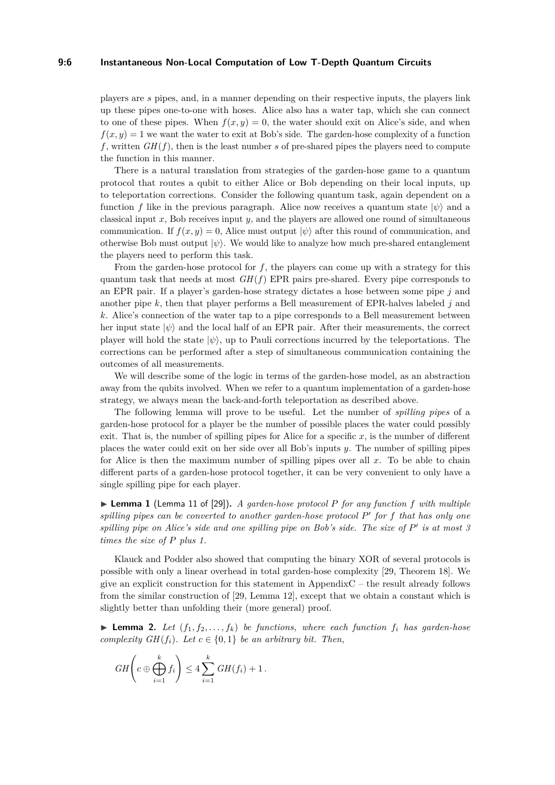#### **9:6 Instantaneous Non-Local Computation of Low T-Depth Quantum Circuits**

players are *s* pipes, and, in a manner depending on their respective inputs, the players link up these pipes one-to-one with hoses. Alice also has a water tap, which she can connect to one of these pipes. When  $f(x, y) = 0$ , the water should exit on Alice's side, and when  $f(x, y) = 1$  we want the water to exit at Bob's side. The garden-hose complexity of a function  $f$ , written  $GH(f)$ , then is the least number *s* of pre-shared pipes the players need to compute the function in this manner.

There is a natural translation from strategies of the garden-hose game to a quantum protocol that routes a qubit to either Alice or Bob depending on their local inputs, up to teleportation corrections. Consider the following quantum task, again dependent on a function *f* like in the previous paragraph. Alice now receives a quantum state  $|\psi\rangle$  and a classical input *x*, Bob receives input *y*, and the players are allowed one round of simultaneous communication. If  $f(x, y) = 0$ , Alice must output  $|\psi\rangle$  after this round of communication, and otherwise Bob must output |*ψ*i. We would like to analyze how much pre-shared entanglement the players need to perform this task.

From the garden-hose protocol for *f*, the players can come up with a strategy for this quantum task that needs at most  $GH(f)$  EPR pairs pre-shared. Every pipe corresponds to an EPR pair. If a player's garden-hose strategy dictates a hose between some pipe *j* and another pipe *k*, then that player performs a Bell measurement of EPR-halves labeled *j* and *k*. Alice's connection of the water tap to a pipe corresponds to a Bell measurement between her input state  $|\psi\rangle$  and the local half of an EPR pair. After their measurements, the correct player will hold the state  $|\psi\rangle$ , up to Pauli corrections incurred by the teleportations. The corrections can be performed after a step of simultaneous communication containing the outcomes of all measurements.

We will describe some of the logic in terms of the garden-hose model, as an abstraction away from the qubits involved. When we refer to a quantum implementation of a garden-hose strategy, we always mean the back-and-forth teleportation as described above.

The following lemma will prove to be useful. Let the number of *spilling pipes* of a garden-hose protocol for a player be the number of possible places the water could possibly exit. That is, the number of spilling pipes for Alice for a specific  $x$ , is the number of different places the water could exit on her side over all Bob's inputs *y*. The number of spilling pipes for Alice is then the maximum number of spilling pipes over all *x*. To be able to chain different parts of a garden-hose protocol together, it can be very convenient to only have a single spilling pipe for each player.

<span id="page-6-0"></span>I **Lemma 1** (Lemma 11 of [\[29\]](#page-24-7))**.** *A garden-hose protocol P for any function f with multiple* spilling pipes can be converted to another garden-hose protocol P' for f that has only one spilling pipe on Alice's side and one spilling pipe on Bob's side. The size of  $P'$  is at most 3 *times the size of P plus 1.*

Klauck and Podder also showed that computing the binary XOR of several protocols is possible with only a linear overhead in total garden-hose complexity [\[29,](#page-24-7) Theorem 18]. We give an explicit construction for this statement in Appendi[xC](#page-17-0) – the result already follows from the similar construction of [\[29,](#page-24-7) Lemma 12], except that we obtain a constant which is slightly better than unfolding their (more general) proof.

<span id="page-6-1"></span> $\blacktriangleright$  **Lemma 2.** Let  $(f_1, f_2, \ldots, f_k)$  be functions, where each function  $f_i$  has garden-hose *complexity GH*( $f_i$ )*.* Let  $c \in \{0, 1\}$  *be an arbitrary bit. Then,* 

$$
GH\left(c \oplus \bigoplus_{i=1}^k f_i\right) \leq 4 \sum_{i=1}^k GH(f_i) + 1.
$$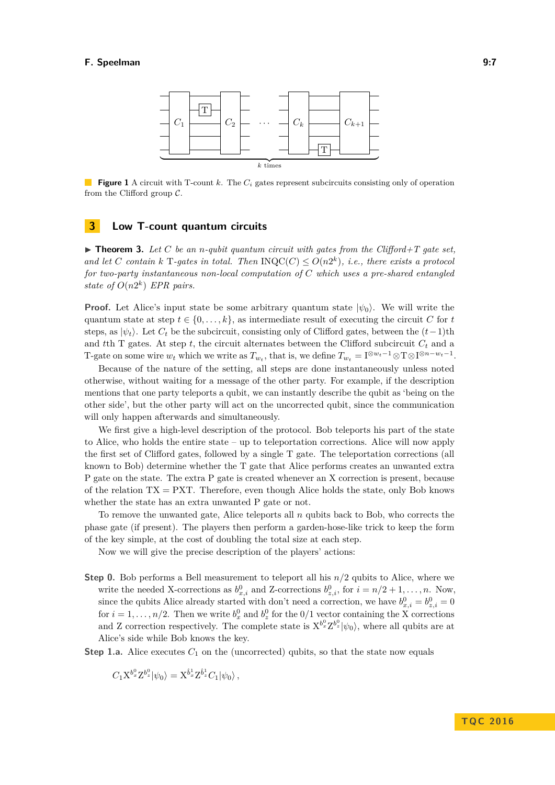

**Figure 1** A circuit with T-count *k*. The *C<sup>i</sup>* gates represent subcircuits consisting only of operation from the Clifford group  $\mathcal{C}$ .

## <span id="page-7-1"></span>**3 Low T-count quantum circuits**

<span id="page-7-0"></span> $\triangleright$  **Theorem 3.** Let C be an *n*-qubit quantum circuit with gates from the Clifford+T gate set, *and let C contain*  $k$  **T***-gates in total. Then*  $INQC(C) \leq O(n2^k)$ , *i.e., there exists a protocol for two-party instantaneous non-local computation of C which uses a pre-shared entangled state of*  $O(n2^k)$  *EPR pairs.* 

**Proof.** Let Alice's input state be some arbitrary quantum state  $|\psi_0\rangle$ . We will write the quantum state at step  $t \in \{0, \ldots, k\}$ , as intermediate result of executing the circuit *C* for *t* steps, as  $|\psi_t\rangle$ . Let  $C_t$  be the subcircuit, consisting only of Clifford gates, between the  $(t-1)$ th and the T gates. At step t, the circuit alternates between the Clifford subcircuit  $C_t$  and a T-gate on some wire  $w_t$  which we write as  $T_{w_t}$ , that is, we define  $T_{w_t} = I^{\otimes w_t - 1} \otimes T \otimes I^{\otimes n - w_t - 1}$ .

Because of the nature of the setting, all steps are done instantaneously unless noted otherwise, without waiting for a message of the other party. For example, if the description mentions that one party teleports a qubit, we can instantly describe the qubit as 'being on the other side', but the other party will act on the uncorrected qubit, since the communication will only happen afterwards and simultaneously.

We first give a high-level description of the protocol. Bob teleports his part of the state to Alice, who holds the entire state – up to teleportation corrections. Alice will now apply the first set of Clifford gates, followed by a single T gate. The teleportation corrections (all known to Bob) determine whether the T gate that Alice performs creates an unwanted extra P gate on the state. The extra P gate is created whenever an X correction is present, because of the relation  $TX = PXT$ . Therefore, even though Alice holds the state, only Bob knows whether the state has an extra unwanted P gate or not.

To remove the unwanted gate, Alice teleports all *n* qubits back to Bob, who corrects the phase gate (if present). The players then perform a garden-hose-like trick to keep the form of the key simple, at the cost of doubling the total size at each step.

Now we will give the precise description of the players' actions:

**Step 0.** Bob performs a Bell measurement to teleport all his  $n/2$  qubits to Alice, where we write the needed X-corrections as  $b_{x,i}^0$  and Z-corrections  $b_{z,i}^0$ , for  $i = n/2 + 1, \ldots, n$ . Now, since the qubits Alice already started with don't need a correction, we have  $b_{x,i}^0 = b_{z,i}^0 = 0$ for  $i = 1, \ldots, n/2$ . Then we write  $b_x^0$  and  $b_z^0$  for the  $0/1$  vector containing the X corrections and Z correction respectively. The complete state is  $X^{b^0_x}Z^{b^0_x}|\psi_0\rangle$ , where all qubits are at Alice's side while Bob knows the key.

**Step 1.a.** Alice executes  $C_1$  on the (uncorrected) qubits, so that the state now equals

$$
C_1 X^{b_x^0} Z^{b_z^0} |\psi_0\rangle = X^{\hat{b}_x^1} Z^{\hat{b}_z^1} C_1 |\psi_0\rangle ,
$$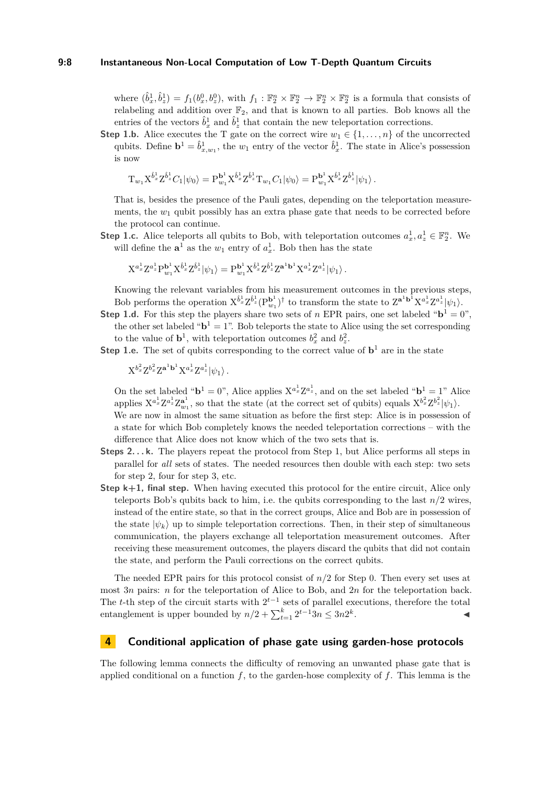#### **9:8 Instantaneous Non-Local Computation of Low T-Depth Quantum Circuits**

where  $(\hat{b}_x^1, \hat{b}_z^1) = f_1(b_x^0, b_z^0)$ , with  $f_1 : \mathbb{F}_2^n \times \mathbb{F}_2^n \to \mathbb{F}_2^n \times \mathbb{F}_2^n$  is a formula that consists of relabeling and addition over  $\mathbb{F}_2$ , and that is known to all parties. Bob knows all the entries of the vectors  $\hat{b}_x^1$  and  $\hat{b}_z^1$  that contain the new teleportation corrections.

**Step 1.b.** Alice executes the T gate on the correct wire  $w_1 \in \{1, \ldots, n\}$  of the uncorrected qubits. Define  $\mathbf{b}^1 = \hat{b}^1_{x,w_1}$ , the  $w_1$  entry of the vector  $\hat{b}^1_x$ . The state in Alice's possession is now

$$
T_{w_1} X^{\hat{b}_x^1} Z^{\hat{b}_z^1} C_1 |\psi_0\rangle = P_{w_1}^{\mathbf{b}_1^1} X^{\hat{b}_x^1} Z^{\hat{b}_z^1} T_{w_1} C_1 |\psi_0\rangle = P_{w_1}^{\mathbf{b}_1^1} X^{\hat{b}_x^1} Z^{\hat{b}_z^1} |\psi_1\rangle.
$$

That is, besides the presence of the Pauli gates, depending on the teleportation measurements, the  $w_1$  qubit possibly has an extra phase gate that needs to be corrected before the protocol can continue.

**Step 1.c.** Alice teleports all qubits to Bob, with teleportation outcomes  $a_x^1, a_z^1 \in \mathbb{F}_2^n$ . We will define the  $\mathbf{a}^1$  as the  $w_1$  entry of  $a_x^1$ . Bob then has the state

$$
\mathrm{X}^{a_x^1} \mathrm{Z}^{a_z^1} \mathrm{P}^{\mathbf{b}^1}_{w_1} \mathrm{X}^{\hat{b}_x^1} \mathrm{Z}^{\hat{b}_z^1} |\psi_1\rangle = \mathrm{P}^{\mathbf{b}^1}_{w_1} \mathrm{X}^{\hat{b}_x^1} \mathrm{Z}^{\hat{b}_z^1} \mathrm{Z}^{\mathbf{a}^1 \mathbf{b}^1} \mathrm{X}^{a_x^1} \mathrm{Z}^{a_z^1} |\psi_1\rangle \,.
$$

Knowing the relevant variables from his measurement outcomes in the previous steps, Bob performs the operation  $X^{\hat{b}_x^1} Z^{\hat{b}_z^1} (P_{w_1}^{b^1})^{\dagger}$  to transform the state to  $Z^{a^1b^1} X^{a^1_x} Z^{a^1_z} |\psi_1\rangle$ .

- **Step 1.d.** For this step the players share two sets of *n* EPR pairs, one set labeled " $\mathbf{b}^1 = 0$ ", the other set labeled " $\mathbf{b}^1 = 1$ ". Bob teleports the state to Alice using the set corresponding to the value of  $\mathbf{b}^1$ , with teleportation outcomes  $b_x^2$  and  $b_z^2$ .
- **Step 1.e.** The set of qubits corresponding to the correct value of  $\mathbf{b}^1$  are in the state

$$
\mathrm{X}^{b_x^2}\mathrm{Z}^{b_x^2}\mathrm{Z}^{\mathbf{a}^1\mathbf{b}^1}\mathrm{X}^{a_x^1}\mathrm{Z}^{a_z^1}|\psi_1\rangle\,.
$$

On the set labeled " $\mathbf{b}^1 = 0$ ", Alice applies  $X^{a_x^1}Z^{a_x^1}$ , and on the set labeled " $\mathbf{b}^1 = 1$ " Alice applies  $X^{a_x^1}Z^{a_z^1}Z^{a^1}_{w_1}$ , so that the state (at the correct set of qubits) equals  $X^{b_x^2}Z^{b_z^2}|\psi_1\rangle$ .

We are now in almost the same situation as before the first step: Alice is in possession of a state for which Bob completely knows the needed teleportation corrections – with the difference that Alice does not know which of the two sets that is.

- **Steps 2. . . k.** The players repeat the protocol from Step 1, but Alice performs all steps in parallel for *all* sets of states. The needed resources then double with each step: two sets for step 2, four for step 3, etc.
- **Step k+1, final step.** When having executed this protocol for the entire circuit, Alice only teleports Bob's qubits back to him, i.e. the qubits corresponding to the last  $n/2$  wires, instead of the entire state, so that in the correct groups, Alice and Bob are in possession of the state  $|\psi_k\rangle$  up to simple teleportation corrections. Then, in their step of simultaneous communication, the players exchange all teleportation measurement outcomes. After receiving these measurement outcomes, the players discard the qubits that did not contain the state, and perform the Pauli corrections on the correct qubits.

The needed EPR pairs for this protocol consist of *n/*2 for Step 0. Then every set uses at most 3*n* pairs: *n* for the teleportation of Alice to Bob, and 2*n* for the teleportation back. The *t*-th step of the circuit starts with  $2^{t-1}$  sets of parallel executions, therefore the total entanglement is upper bounded by  $n/2 + \sum_{t=1}^{k} 2^{t-1}3n \leq 3n2^k$ . J

## **4 Conditional application of phase gate using garden-hose protocols**

The following lemma connects the difficulty of removing an unwanted phase gate that is applied conditional on a function *f*, to the garden-hose complexity of *f*. This lemma is the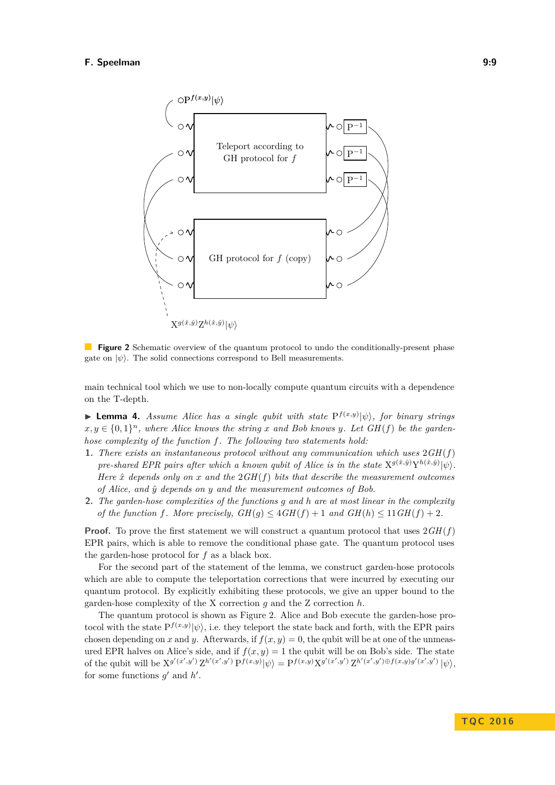<span id="page-9-1"></span>

**Figure 2** Schematic overview of the quantum protocol to undo the conditionally-present phase gate on  $|\psi\rangle$ . The solid connections correspond to Bell measurements.

main technical tool which we use to non-locally compute quantum circuits with a dependence on the T-depth.

<span id="page-9-0"></span>**Lemma 4.** Assume Alice has a single qubit with state  $P^{f(x,y)}|\psi\rangle$ , for binary strings  $x, y \in \{0, 1\}^n$ , where Alice knows the string x and Bob knows y. Let  $GH(f)$  be the garden*hose complexity of the function f. The following two statements hold:*

- **1.** *There exists an instantaneous protocol without any communication which uses* 2*GH*(*f*) *pre-shared EPR pairs after which a known qubit of Alice is in the state*  $X^{g(\hat{x},\hat{y})}Y^{h(\hat{x},\hat{y})}|\psi\rangle$ . *Here*  $\hat{x}$  *depends only on*  $x$  *and the*  $2GH(f)$  *bits that describe the measurement outcomes of Alice, and y*ˆ *depends on y and the measurement outcomes of Bob.*
- **2.** *The garden-hose complexities of the functions g and h are at most linear in the complexity of the function f.* More precisely,  $GH(g) \leq 4GH(f) + 1$  and  $GH(h) \leq 11GH(f) + 2$ .

**Proof.** To prove the first statement we will construct a quantum protocol that uses 2*GH*(*f*) EPR pairs, which is able to remove the conditional phase gate. The quantum protocol uses the garden-hose protocol for *f* as a black box.

For the second part of the statement of the lemma, we construct garden-hose protocols which are able to compute the teleportation corrections that were incurred by executing our quantum protocol. By explicitly exhibiting these protocols, we give an upper bound to the garden-hose complexity of the X correction *g* and the Z correction *h*.

The quantum protocol is shown as Figure [2.](#page-9-1) Alice and Bob execute the garden-hose protocol with the state  $P^{f(x,y)}|\psi\rangle$ , i.e. they teleport the state back and forth, with the EPR pairs chosen depending on *x* and *y*. Afterwards, if  $f(x, y) = 0$ , the qubit will be at one of the unmeasured EPR halves on Alice's side, and if  $f(x, y) = 1$  the qubit will be on Bob's side. The state of the qubit will be  $X^{g'(x',y')} Z^{h'(x',y')} P^{f(x,y)} |\psi\rangle = P^{f(x,y)} X^{g'(x',y')} Z^{h'(x',y')} \oplus f(x,y) g'(x',y') |\psi\rangle$ for some functions  $g'$  and  $h'$ .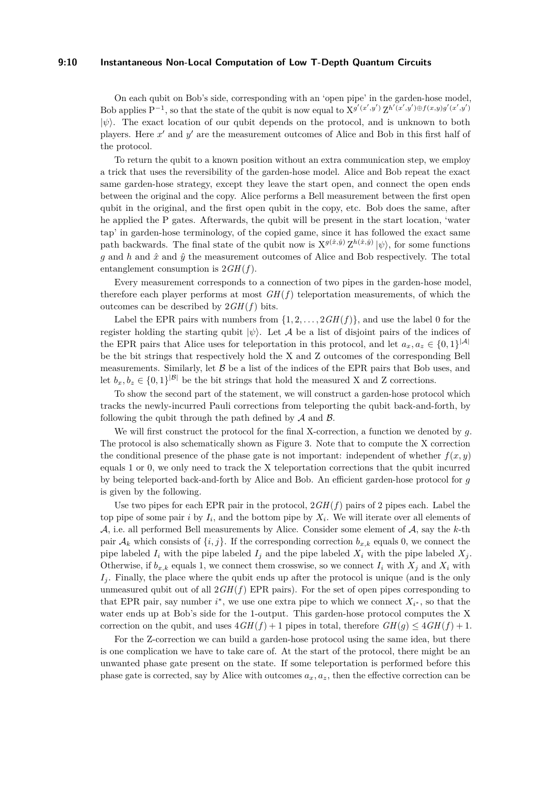#### **9:10 Instantaneous Non-Local Computation of Low T-Depth Quantum Circuits**

On each qubit on Bob's side, corresponding with an 'open pipe' in the garden-hose model, Bob applies  $P^{-1}$ , so that the state of the qubit is now equal to  $X^{g'(x',y')}Z^{h'(x',y')\oplus f(x,y)g'(x',y')}$ |*ψ*i. The exact location of our qubit depends on the protocol, and is unknown to both players. Here x' and y' are the measurement outcomes of Alice and Bob in this first half of the protocol.

To return the qubit to a known position without an extra communication step, we employ a trick that uses the reversibility of the garden-hose model. Alice and Bob repeat the exact same garden-hose strategy, except they leave the start open, and connect the open ends between the original and the copy. Alice performs a Bell measurement between the first open qubit in the original, and the first open qubit in the copy, etc. Bob does the same, after he applied the P gates. Afterwards, the qubit will be present in the start location, 'water tap' in garden-hose terminology, of the copied game, since it has followed the exact same path backwards. The final state of the qubit now is  $X^{g(\hat{x}, \hat{y})} Z^{h(\hat{x}, \hat{y})} |\psi\rangle$ , for some functions  $g$  and  $h$  and  $\hat{x}$  and  $\hat{y}$  the measurement outcomes of Alice and Bob respectively. The total entanglement consumption is 2*GH*(*f*).

Every measurement corresponds to a connection of two pipes in the garden-hose model, therefore each player performs at most  $GH(f)$  teleportation measurements, of which the outcomes can be described by  $2GH(f)$  bits.

Label the EPR pairs with numbers from  $\{1, 2, \ldots, 2GH(f)\}\)$ , and use the label 0 for the register holding the starting qubit  $|\psi\rangle$ . Let A be a list of disjoint pairs of the indices of the EPR pairs that Alice uses for teleportation in this protocol, and let  $a_x, a_z \in \{0,1\}^{|\mathcal{A}|}$ be the bit strings that respectively hold the X and Z outcomes of the corresponding Bell measurements. Similarly, let  $\beta$  be a list of the indices of the EPR pairs that Bob uses, and let  $b_x, b_z \in \{0,1\}^{|\mathcal{B}|}$  be the bit strings that hold the measured X and Z corrections.

To show the second part of the statement, we will construct a garden-hose protocol which tracks the newly-incurred Pauli corrections from teleporting the qubit back-and-forth, by following the qubit through the path defined by  $A$  and  $B$ .

We will first construct the protocol for the final X-correction, a function we denoted by *g*. The protocol is also schematically shown as Figure [3.](#page-11-0) Note that to compute the X correction the conditional presence of the phase gate is not important: independent of whether  $f(x, y)$ equals 1 or 0, we only need to track the X teleportation corrections that the qubit incurred by being teleported back-and-forth by Alice and Bob. An efficient garden-hose protocol for *g* is given by the following.

Use two pipes for each EPR pair in the protocol,  $2GH(f)$  pairs of 2 pipes each. Label the top pipe of some pair *i* by  $I_i$ , and the bottom pipe by  $X_i$ . We will iterate over all elements of A, i.e. all performed Bell measurements by Alice. Consider some element of A, say the *k*-th pair  $\mathcal{A}_k$  which consists of  $\{i, j\}$ . If the corresponding correction  $b_{x,k}$  equals 0, we connect the pipe labeled  $I_i$  with the pipe labeled  $I_j$  and the pipe labeled  $X_i$  with the pipe labeled  $X_j$ . Otherwise, if  $b_{x,k}$  equals 1, we connect them crosswise, so we connect  $I_i$  with  $X_i$  and  $X_i$  with *I*<sub>j</sub>. Finally, the place where the qubit ends up after the protocol is unique (and is the only unmeasured qubit out of all  $2GH(f)$  EPR pairs). For the set of open pipes corresponding to that EPR pair, say number  $i^*$ , we use one extra pipe to which we connect  $X_{i^*}$ , so that the water ends up at Bob's side for the 1-output. This garden-hose protocol computes the X correction on the qubit, and uses  $4GH(f) + 1$  pipes in total, therefore  $GH(g) \leq 4GH(f) + 1$ .

For the Z-correction we can build a garden-hose protocol using the same idea, but there is one complication we have to take care of. At the start of the protocol, there might be an unwanted phase gate present on the state. If some teleportation is performed before this phase gate is corrected, say by Alice with outcomes  $a_x, a_z$ , then the effective correction can be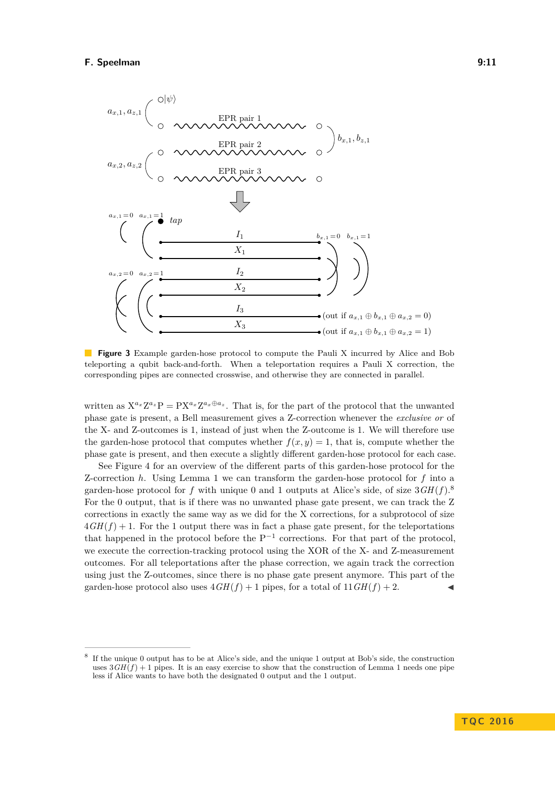<span id="page-11-0"></span>

**Figure 3** Example garden-hose protocol to compute the Pauli X incurred by Alice and Bob teleporting a qubit back-and-forth. When a teleportation requires a Pauli X correction, the corresponding pipes are connected crosswise, and otherwise they are connected in parallel.

written as  $X^{a_x}Z^{a_z}P = PX^{a_x}Z^{a_x \oplus a_z}$ . That is, for the part of the protocol that the unwanted phase gate is present, a Bell measurement gives a Z-correction whenever the *exclusive or* of the X- and Z-outcomes is 1, instead of just when the Z-outcome is 1. We will therefore use the garden-hose protocol that computes whether  $f(x, y) = 1$ , that is, compute whether the phase gate is present, and then execute a slightly different garden-hose protocol for each case.

See Figure [4](#page-12-1) for an overview of the different parts of this garden-hose protocol for the Z-correction *h*. Using Lemma [1](#page-6-0) we can transform the garden-hose protocol for *f* into a garden-hose protocol for *f* with unique 0 and 1 outputs at Alice's side, of size 3*GH*(*f*). [8](#page-11-1) For the 0 output, that is if there was no unwanted phase gate present, we can track the Z corrections in exactly the same way as we did for the X corrections, for a subprotocol of size  $4GH(f) + 1$ . For the 1 output there was in fact a phase gate present, for the teleportations that happened in the protocol before the  $P^{-1}$  corrections. For that part of the protocol, we execute the correction-tracking protocol using the XOR of the X- and Z-measurement outcomes. For all teleportations after the phase correction, we again track the correction using just the Z-outcomes, since there is no phase gate present anymore. This part of the garden-hose protocol also uses  $4GH(f) + 1$  pipes, for a total of  $11GH(f) + 2$ .

<span id="page-11-1"></span><sup>8</sup> If the unique 0 output has to be at Alice's side, and the unique 1 output at Bob's side, the construction uses  $3GH(f) + 1$  $3GH(f) + 1$  pipes. It is an easy exercise to show that the construction of Lemma 1 needs one pipe less if Alice wants to have both the designated 0 output and the 1 output.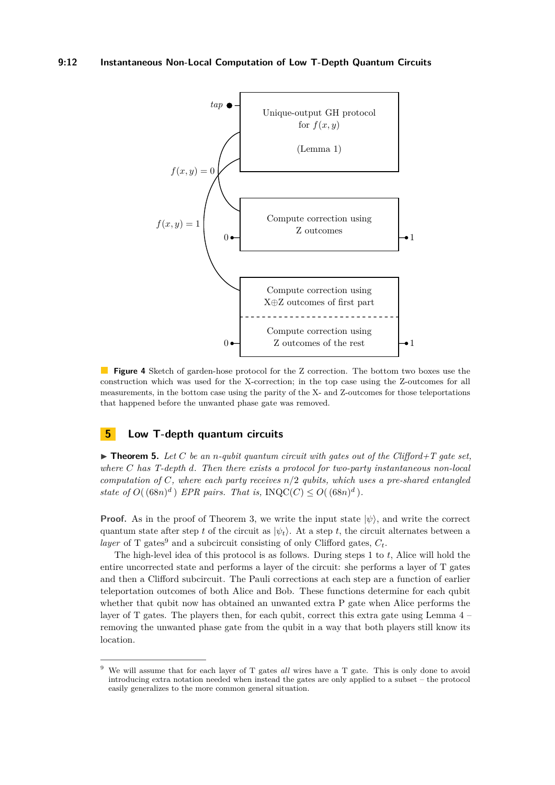<span id="page-12-1"></span>

**Figure 4** Sketch of garden-hose protocol for the Z correction. The bottom two boxes use the construction which was used for the X-correction; in the top case using the Z-outcomes for all measurements, in the bottom case using the parity of the X- and Z-outcomes for those teleportations that happened before the unwanted phase gate was removed.

## <span id="page-12-0"></span>**5 Low T-depth quantum circuits**

<span id="page-12-3"></span> $\triangleright$  **Theorem 5.** Let C be an *n*-qubit quantum circuit with gates out of the Clifford+T gate set, *where C has T-depth d. Then there exists a protocol for two-party instantaneous non-local computation of C, where each party receives n/*2 *qubits, which uses a pre-shared entangled state of*  $O((68n)^d)$  *EPR pairs. That is,* INQC(*C*)  $\leq O((68n)^d)$ *.* 

**Proof.** As in the proof of Theorem [3,](#page-7-0) we write the input state  $|\psi\rangle$ , and write the correct quantum state after step *t* of the circuit as  $|\psi_t\rangle$ . At a step *t*, the circuit alternates between a *layer* of T gates<sup>[9](#page-12-2)</sup> and a subcircuit consisting of only Clifford gates,  $C_t$ .

The high-level idea of this protocol is as follows. During steps 1 to *t*, Alice will hold the entire uncorrected state and performs a layer of the circuit: she performs a layer of T gates and then a Clifford subcircuit. The Pauli corrections at each step are a function of earlier teleportation outcomes of both Alice and Bob. These functions determine for each qubit whether that qubit now has obtained an unwanted extra P gate when Alice performs the layer of T gates. The players then, for each qubit, correct this extra gate using Lemma [4](#page-9-0) – removing the unwanted phase gate from the qubit in a way that both players still know its location.

<span id="page-12-2"></span><sup>9</sup> We will assume that for each layer of T gates *all* wires have a T gate. This is only done to avoid introducing extra notation needed when instead the gates are only applied to a subset – the protocol easily generalizes to the more common general situation.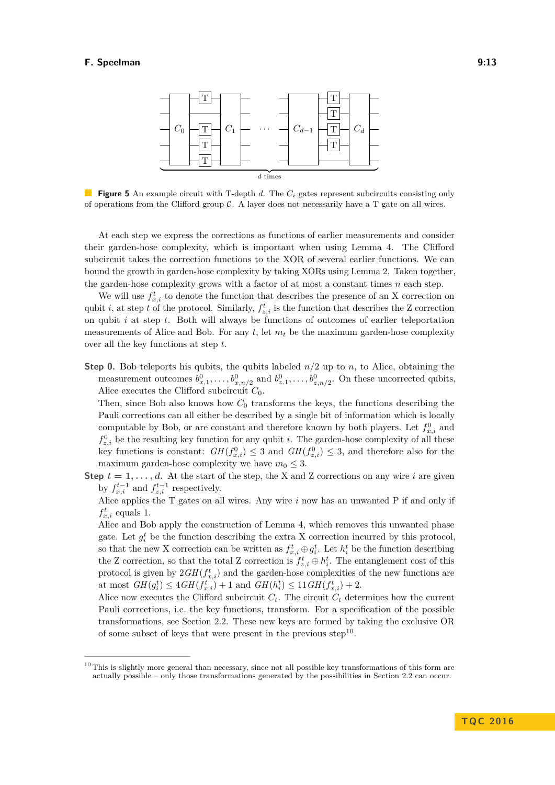<span id="page-13-0"></span>

**Figure 5** An example circuit with T-depth *d*. The *C<sup>i</sup>* gates represent subcircuits consisting only of operations from the Clifford group  $\mathcal C$ . A layer does not necessarily have a T gate on all wires.

At each step we express the corrections as functions of earlier measurements and consider their garden-hose complexity, which is important when using Lemma [4.](#page-9-0) The Clifford subcircuit takes the correction functions to the XOR of several earlier functions. We can bound the growth in garden-hose complexity by taking XORs using Lemma [2.](#page-6-1) Taken together, the garden-hose complexity grows with a factor of at most a constant times *n* each step.

We will use  $f_{x,i}^t$  to denote the function that describes the presence of an X correction on qubit *i*, at step *t* of the protocol. Similarly,  $f_{z,i}^t$  is the function that describes the Z correction on qubit *i* at step *t*. Both will always be functions of outcomes of earlier teleportation measurements of Alice and Bob. For any *t*, let *m<sup>t</sup>* be the maximum garden-hose complexity over all the key functions at step *t*.

**Step 0.** Bob teleports his qubits, the qubits labeled *n/*2 up to *n*, to Alice, obtaining the measurement outcomes  $b_{x,1}^0, \ldots, b_{x,n/2}^0$  and  $b_{z,1}^0, \ldots, b_{z,n/2}^0$ . On these uncorrected qubits, Alice executes the Clifford subcircuit *C*0.

Then, since Bob also knows how  $C_0$  transforms the keys, the functions describing the Pauli corrections can all either be described by a single bit of information which is locally computable by Bob, or are constant and therefore known by both players. Let  $f_{x,i}^0$  and  $f_{z,i}^0$  be the resulting key function for any qubit *i*. The garden-hose complexity of all these key functions is constant:  $GH(f_{x,i}^0) \leq 3$  and  $GH(f_{z,i}^0) \leq 3$ , and therefore also for the maximum garden-hose complexity we have  $m_0 \leq 3$ .

**Step**  $t = 1, \ldots, d$ . At the start of the step, the X and Z corrections on any wire *i* are given by  $f_{x,i}^{t-1}$  and  $f_{z,i}^{t-1}$  respectively.

Alice applies the T gates on all wires. Any wire *i* now has an unwanted P if and only if  $f_{x,i}^t$  equals 1.

Alice and Bob apply the construction of Lemma [4,](#page-9-0) which removes this unwanted phase gate. Let  $g_i^t$  be the function describing the extra X correction incurred by this protocol, so that the new X correction can be written as  $f_{x,i}^t \oplus g_i^t$ . Let  $h_i^t$  be the function describing the Z correction, so that the total Z correction is  $f_{z,i}^t \oplus h_i^t$ . The entanglement cost of this protocol is given by  $2GH(f_{x,i}^t)$  and the garden-hose complexities of the new functions are at most  $GH(g_i^t) \leq 4GH(f_{x,i}^t) + 1$  and  $GH(h_i^t) \leq 11GH(f_{x,i}^t) + 2$ .

Alice now executes the Clifford subcircuit  $C_t$ . The circuit  $C_t$  determines how the current Pauli corrections, i.e. the key functions, transform. For a specification of the possible transformations, see Section [2.2.](#page-4-2) These new keys are formed by taking the exclusive OR of some subset of keys that were present in the previous step<sup>[10](#page-13-1)</sup>.

<span id="page-13-1"></span><sup>&</sup>lt;sup>10</sup> This is slightly more general than necessary, since not all possible key transformations of this form are actually possible – only those transformations generated by the possibilities in Section [2.2](#page-4-2) can occur.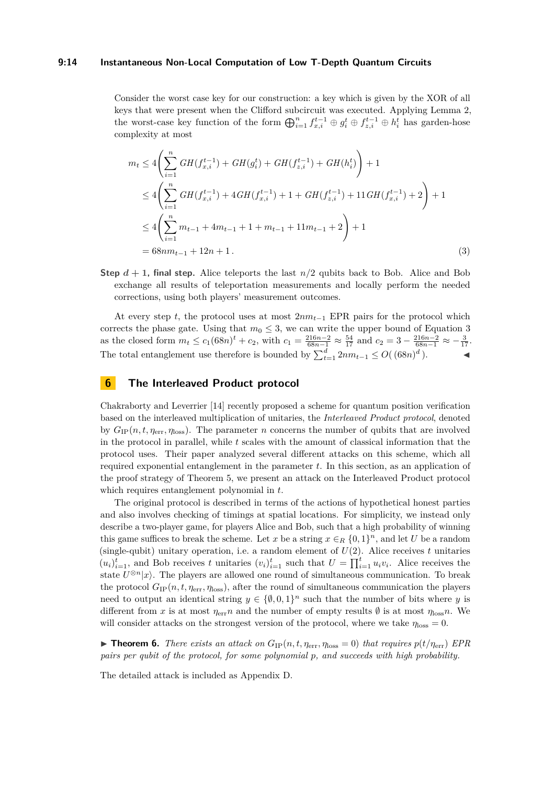#### **9:14 Instantaneous Non-Local Computation of Low T-Depth Quantum Circuits**

Consider the worst case key for our construction: a key which is given by the XOR of all keys that were present when the Clifford subcircuit was executed. Applying Lemma [2,](#page-6-1) the worst-case key function of the form  $\bigoplus_{i=1}^{n} f_{x,i}^{t-1} \oplus g_i^t \oplus f_{z,i}^{t-1} \oplus h_i^t$  has garden-hose complexity at most

<span id="page-14-0"></span>
$$
m_{t} \leq 4 \left( \sum_{i=1}^{n} GH(f_{x,i}^{t-1}) + GH(g_{i}^{t}) + GH(f_{z,i}^{t-1}) + GH(h_{i}^{t}) \right) + 1
$$
  
\n
$$
\leq 4 \left( \sum_{i=1}^{n} GH(f_{x,i}^{t-1}) + 4GH(f_{x,i}^{t-1}) + 1 + GH(f_{z,i}^{t-1}) + 11GH(f_{x,i}^{t-1}) + 2 \right) + 1
$$
  
\n
$$
\leq 4 \left( \sum_{i=1}^{n} m_{t-1} + 4m_{t-1} + 1 + m_{t-1} + 11m_{t-1} + 2 \right) + 1
$$
  
\n
$$
= 68nm_{t-1} + 12n + 1.
$$
 (3)

**Step**  $d + 1$ , final step. Alice teleports the last  $n/2$  qubits back to Bob. Alice and Bob exchange all results of teleportation measurements and locally perform the needed corrections, using both players' measurement outcomes.

At every step *t*, the protocol uses at most 2*nmt*−<sup>1</sup> EPR pairs for the protocol which corrects the phase gate. Using that  $m_0 \leq 3$  $m_0 \leq 3$ , we can write the upper bound of Equation 3 as the closed form  $m_t \le c_1(68n)^t + c_2$ , with  $c_1 = \frac{216n-2}{68n-1} \approx \frac{54}{17}$  and  $c_2 = 3 - \frac{216n-2}{68n-1} \approx -\frac{3}{17}$ . The total entanglement use therefore is bounded by  $\sum_{t=1}^{d} 2nm_{t-1} \leq O((68n)^d)$ .

## **6 The Interleaved Product protocol**

Chakraborty and Leverrier [\[14\]](#page-23-9) recently proposed a scheme for quantum position verification based on the interleaved multiplication of unitaries, the *Interleaved Product protocol*, denoted by  $G_{IP}(n, t, \eta_{\text{err}}, \eta_{\text{loss}})$ . The parameter *n* concerns the number of qubits that are involved in the protocol in parallel, while *t* scales with the amount of classical information that the protocol uses. Their paper analyzed several different attacks on this scheme, which all required exponential entanglement in the parameter *t*. In this section, as an application of the proof strategy of Theorem [5,](#page-12-3) we present an attack on the Interleaved Product protocol which requires entanglement polynomial in *t*.

The original protocol is described in terms of the actions of hypothetical honest parties and also involves checking of timings at spatial locations. For simplicity, we instead only describe a two-player game, for players Alice and Bob, such that a high probability of winning this game suffices to break the scheme. Let *x* be a string  $x \in_R \{0,1\}^n$ , and let *U* be a random (single-qubit) unitary operation, i.e. a random element of  $U(2)$ . Alice receives t unitaries  $(u_i)_{i=1}^t$ , and Bob receives *t* unitaries  $(v_i)_{i=1}^t$  such that  $U = \prod_{i=1}^t u_i v_i$ . Alice receives the state  $U^{\otimes n}|x\rangle$ . The players are allowed one round of simultaneous communication. To break the protocol  $G_{IP}(n, t, \eta_{\text{err}}, \eta_{\text{loss}})$ , after the round of simultaneous communication the players need to output an identical string  $y \in \{\emptyset, 0, 1\}^n$  such that the number of bits where *y* is different from *x* is at most  $\eta_{\text{err}} n$  and the number of empty results  $\emptyset$  is at most  $\eta_{\text{loss}} n$ . We will consider attacks on the strongest version of the protocol, where we take  $\eta_{\text{loss}} = 0$ .

<span id="page-14-1"></span>**Findment 6.** *There exists an attack on*  $G_{IP}(n, t, \eta_{err}, \eta_{loss} = 0)$  *that requires*  $p(t/\eta_{err})$  *EPR pairs per qubit of the protocol, for some polynomial p, and succeeds with high probability.*

The detailed attack is included as Appendix [D.](#page-18-0)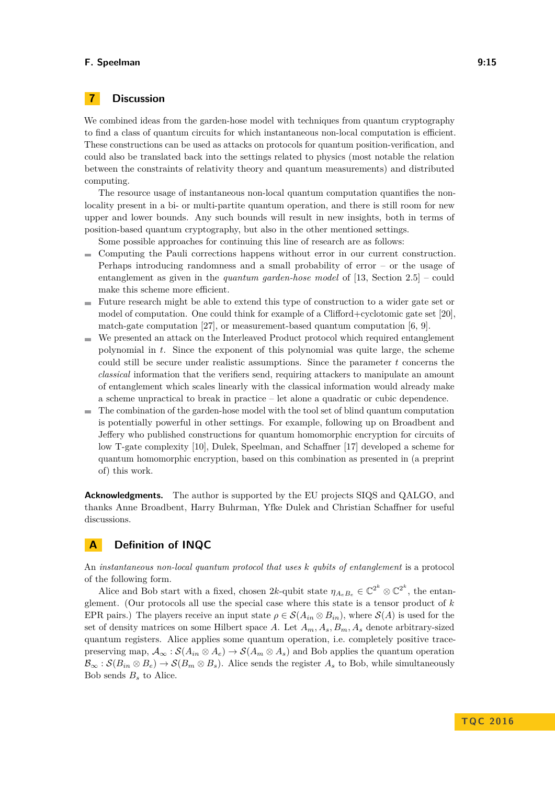## **7 Discussion**

We combined ideas from the garden-hose model with techniques from quantum cryptography to find a class of quantum circuits for which instantaneous non-local computation is efficient. These constructions can be used as attacks on protocols for quantum position-verification, and could also be translated back into the settings related to physics (most notable the relation between the constraints of relativity theory and quantum measurements) and distributed computing.

The resource usage of instantaneous non-local quantum computation quantifies the nonlocality present in a bi- or multi-partite quantum operation, and there is still room for new upper and lower bounds. Any such bounds will result in new insights, both in terms of position-based quantum cryptography, but also in the other mentioned settings.

Some possible approaches for continuing this line of research are as follows:

- Computing the Pauli corrections happens without error in our current construction.  $\sim$ Perhaps introducing randomness and a small probability of error – or the usage of entanglement as given in the *quantum garden-hose model* of [\[13,](#page-23-0) Section 2.5] – could make this scheme more efficient.
- Future research might be able to extend this type of construction to a wider gate set or model of computation. One could think for example of a Clifford+cyclotomic gate set [\[20\]](#page-23-14), match-gate computation [\[27\]](#page-23-15), or measurement-based quantum computation  $[6, 9]$  $[6, 9]$ .
- We presented an attack on the Interleaved Product protocol which required entanglement polynomial in *t*. Since the exponent of this polynomial was quite large, the scheme could still be secure under realistic assumptions. Since the parameter *t* concerns the *classical* information that the verifiers send, requiring attackers to manipulate an amount of entanglement which scales linearly with the classical information would already make a scheme unpractical to break in practice – let alone a quadratic or cubic dependence.
- $\blacksquare$  The combination of the garden-hose model with the tool set of blind quantum computation is potentially powerful in other settings. For example, following up on Broadbent and Jeffery who published constructions for quantum homomorphic encryption for circuits of low T-gate complexity [\[10\]](#page-22-5), Dulek, Speelman, and Schaffner [\[17\]](#page-23-16) developed a scheme for quantum homomorphic encryption, based on this combination as presented in (a preprint of) this work.

**Acknowledgments.** The author is supported by the EU projects SIQS and QALGO, and thanks Anne Broadbent, Harry Buhrman, Yfke Dulek and Christian Schaffner for useful discussions.

## <span id="page-15-0"></span>**A Definition of INQC**

An *instantaneous non-local quantum protocol that uses k qubits of entanglement* is a protocol of the following form.

Alice and Bob start with a fixed, chosen  $2k$ -qubit state  $\eta_{A_e B_e} \in \mathbb{C}^{2^k} \otimes \mathbb{C}^{2^k}$ , the entanglement. (Our protocols all use the special case where this state is a tensor product of *k* EPR pairs.) The players receive an input state  $\rho \in \mathcal{S}(A_{in} \otimes B_{in})$ , where  $\mathcal{S}(A)$  is used for the set of density matrices on some Hilbert space A. Let  $A_m$ ,  $A_s$ ,  $B_m$ ,  $A_s$  denote arbitrary-sized quantum registers. Alice applies some quantum operation, i.e. completely positive tracepreserving map,  $\mathcal{A}_{\infty}: \mathcal{S}(A_{in} \otimes A_e) \to \mathcal{S}(A_m \otimes A_s)$  and Bob applies the quantum operation  $\mathcal{B}_{\infty}: \mathcal{S}(B_{in} \otimes B_e) \to \mathcal{S}(B_m \otimes B_s)$ . Alice sends the register  $A_s$  to Bob, while simultaneously Bob sends *B<sup>s</sup>* to Alice.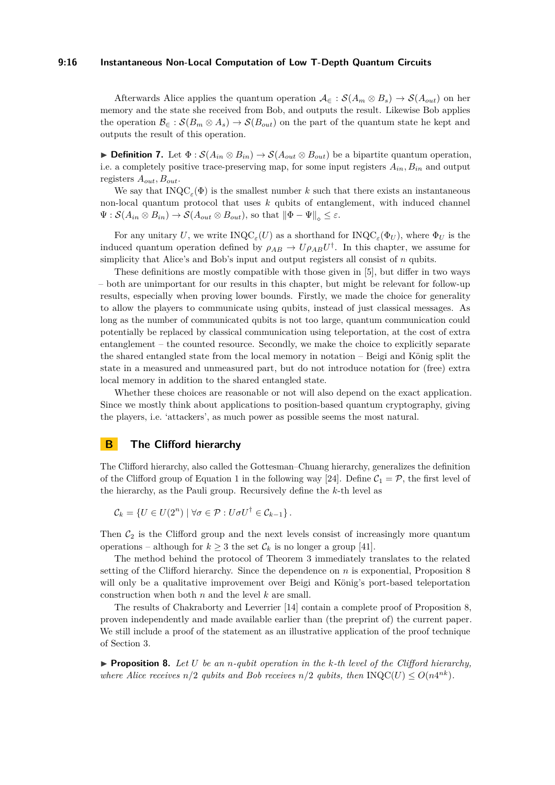#### **9:16 Instantaneous Non-Local Computation of Low T-Depth Quantum Circuits**

Afterwards Alice applies the quantum operation  $A_{\epsilon}: S(A_m \otimes B_s) \to S(A_{out})$  on her memory and the state she received from Bob, and outputs the result. Likewise Bob applies the operation  $\mathcal{B}_{\infty}: \mathcal{S}(B_m \otimes A_s) \to \mathcal{S}(B_{out})$  on the part of the quantum state he kept and outputs the result of this operation.

**► Definition 7.** Let  $\Phi$  :  $S(A_{in} \otimes B_{in}) \rightarrow S(A_{out} \otimes B_{out})$  be a bipartite quantum operation, i.e. a completely positive trace-preserving map, for some input registers  $A_{in}$ ,  $B_{in}$  and output registers *Aout, Bout*.

We say that  $INQC_{\varepsilon}(\Phi)$  is the smallest number *k* such that there exists an instantaneous non-local quantum protocol that uses *k* qubits of entanglement, with induced channel  $\Psi : \mathcal{S}(A_{in} \otimes B_{in}) \to \mathcal{S}(A_{out} \otimes B_{out}),$  so that  $\|\Phi - \Psi\|_{\infty} \leq \varepsilon$ .

For any unitary U, we write  $\text{INQC}_{\varepsilon}(U)$  as a shorthand for  $\text{INQC}_{\varepsilon}(\Phi_U)$ , where  $\Phi_U$  is the induced quantum operation defined by  $\rho_{AB} \rightarrow U \rho_{AB} U^{\dagger}$ . In this chapter, we assume for simplicity that Alice's and Bob's input and output registers all consist of *n* qubits.

These definitions are mostly compatible with those given in [\[5\]](#page-22-0), but differ in two ways – both are unimportant for our results in this chapter, but might be relevant for follow-up results, especially when proving lower bounds. Firstly, we made the choice for generality to allow the players to communicate using qubits, instead of just classical messages. As long as the number of communicated qubits is not too large, quantum communication could potentially be replaced by classical communication using teleportation, at the cost of extra entanglement – the counted resource. Secondly, we make the choice to explicitly separate the shared entangled state from the local memory in notation – Beigi and König split the state in a measured and unmeasured part, but do not introduce notation for (free) extra local memory in addition to the shared entangled state.

Whether these choices are reasonable or not will also depend on the exact application. Since we mostly think about applications to position-based quantum cryptography, giving the players, i.e. 'attackers', as much power as possible seems the most natural.

## **B The Clifford hierarchy**

The Clifford hierarchy, also called the Gottesman–Chuang hierarchy, generalizes the definition of the Clifford group of Equation [1](#page-4-3) in the following way [\[24\]](#page-23-8). Define  $C_1 = \mathcal{P}$ , the first level of the hierarchy, as the Pauli group. Recursively define the *k*-th level as

$$
\mathcal{C}_k = \{ U \in U(2^n) \mid \forall \sigma \in \mathcal{P} : U \sigma U^{\dagger} \in \mathcal{C}_{k-1} \}.
$$

Then  $C_2$  is the Clifford group and the next levels consist of increasingly more quantum operations – although for  $k \geq 3$  the set  $\mathcal{C}_k$  is no longer a group [\[41\]](#page-24-13).

The method behind the protocol of Theorem [3](#page-7-0) immediately translates to the related setting of the Clifford hierarchy. Since the dependence on *n* is exponential, Proposition [8](#page-16-0) will only be a qualitative improvement over Beigi and König's port-based teleportation construction when both *n* and the level *k* are small.

The results of Chakraborty and Leverrier [\[14\]](#page-23-9) contain a complete proof of Proposition [8,](#page-16-0) proven independently and made available earlier than (the preprint of) the current paper. We still include a proof of the statement as an illustrative application of the proof technique of Section [3.](#page-7-1)

<span id="page-16-0"></span>**Proposition 8.** Let  $U$  be an *n*-qubit operation in the  $k$ -th level of the Clifford hierarchy, *where Alice receives*  $n/2$  *qubits and Bob receives*  $n/2$  *qubits, then*  $INQC(U) \leq O(n4^{nk})$ *.*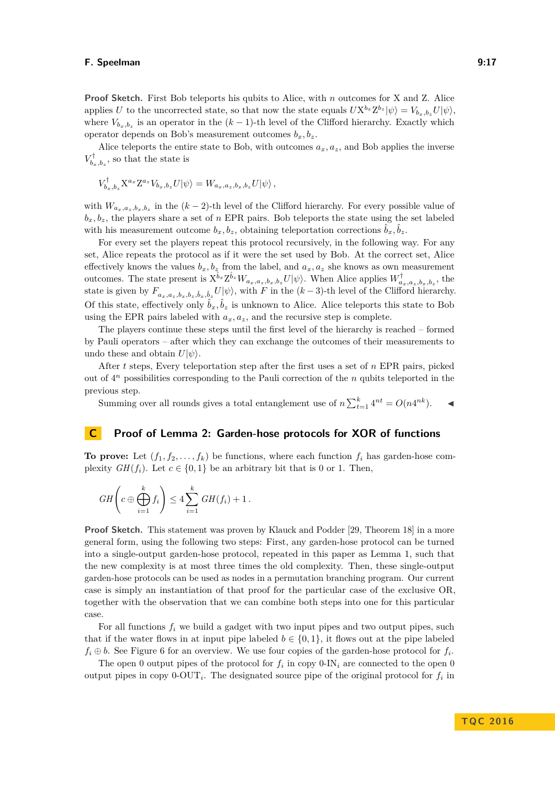**Proof Sketch.** First Bob teleports his qubits to Alice, with *n* outcomes for X and Z. Alice applies *U* to the uncorrected state, so that now the state equals  $U X^{b_x} Z^{b_z} |\psi\rangle = V_{b_x, b_z} U |\psi\rangle$ , where  $V_{b_x,b_z}$  is an operator in the  $(k-1)$ -th level of the Clifford hierarchy. Exactly which operator depends on Bob's measurement outcomes  $b_x, b_z$ .

Alice teleports the entire state to Bob, with outcomes  $a_x, a_z$ , and Bob applies the inverse  $V_{b_x, b_z}^{\dagger}$ , so that the state is

$$
V_{b_x,b_z}^{\dagger} \mathbf{X}^{a_x} \mathbf{Z}^{a_z} V_{b_x,b_z} U |\psi\rangle = W_{a_x,a_z,b_x,b_z} U |\psi\rangle ,
$$

with  $W_{a_x,a_z,b_x,b_z}$  in the  $(k-2)$ -th level of the Clifford hierarchy. For every possible value of  $b_x, b_z$ , the players share a set of *n* EPR pairs. Bob teleports the state using the set labeled with his measurement outcome  $b_x, b_z$ , obtaining teleportation corrections  $\hat{b}_x, \hat{b}_z$ .

For every set the players repeat this protocol recursively, in the following way. For any set, Alice repeats the protocol as if it were the set used by Bob. At the correct set, Alice effectively knows the values  $b_x, b_z$  from the label, and  $a_x, a_z$  she knows as own measurement outcomes. The state present is  $X^{\hat{b}_x}Z^{\hat{b}_z}W_{a_x,a_z,b_x,b_z}U|\psi\rangle$ . When Alice applies  $W_{a_x,a_z,b_x,b_z}^{\dagger}$ , the state is given by  $F_{a_x,a_z,b_x,b_z,\hat{b}_x,\hat{b}_z}U|\psi\rangle$ , with F in the  $(k-3)$ -th level of the Clifford hierarchy. Of this state, effectively only  $\hat{b}_x, \hat{b}_z$  is unknown to Alice. Alice teleports this state to Bob using the EPR pairs labeled with  $a_x, a_z$ , and the recursive step is complete.

The players continue these steps until the first level of the hierarchy is reached – formed by Pauli operators – after which they can exchange the outcomes of their measurements to undo these and obtain  $U|\psi\rangle$ .

After *t* steps, Every teleportation step after the first uses a set of *n* EPR pairs, picked out of 4 *<sup>n</sup>* possibilities corresponding to the Pauli correction of the *n* qubits teleported in the previous step.

Summing over all rounds gives a total entanglement use of  $n \sum_{t=1}^{k} 4^{nt} = O(n4^{nk})$ .

## <span id="page-17-0"></span>**C Proof of Lemma [2:](#page-6-1) Garden-hose protocols for XOR of functions**

**To prove:** Let  $(f_1, f_2, \ldots, f_k)$  be functions, where each function  $f_i$  has garden-hose complexity  $GH(f_i)$ . Let  $c \in \{0,1\}$  be an arbitrary bit that is 0 or 1. Then,

$$
GH\left(c \oplus \bigoplus_{i=1}^k f_i\right) \leq 4 \sum_{i=1}^k GH(f_i) + 1.
$$

**Proof Sketch.** This statement was proven by Klauck and Podder [\[29,](#page-24-7) Theorem 18] in a more general form, using the following two steps: First, any garden-hose protocol can be turned into a single-output garden-hose protocol, repeated in this paper as Lemma [1,](#page-6-0) such that the new complexity is at most three times the old complexity. Then, these single-output garden-hose protocols can be used as nodes in a permutation branching program. Our current case is simply an instantiation of that proof for the particular case of the exclusive OR, together with the observation that we can combine both steps into one for this particular case.

For all functions *f<sup>i</sup>* we build a gadget with two input pipes and two output pipes, such that if the water flows in at input pipe labeled  $b \in \{0,1\}$ , it flows out at the pipe labeled  $f_i \oplus b$ . See Figure [6](#page-18-1) for an overview. We use four copies of the garden-hose protocol for  $f_i$ .

The open 0 output pipes of the protocol for  $f_i$  in copy  $0$ -IN<sub>i</sub> are connected to the open 0 output pipes in copy  $0$ -OUT<sub>*i*</sub>. The designated source pipe of the original protocol for  $f_i$  in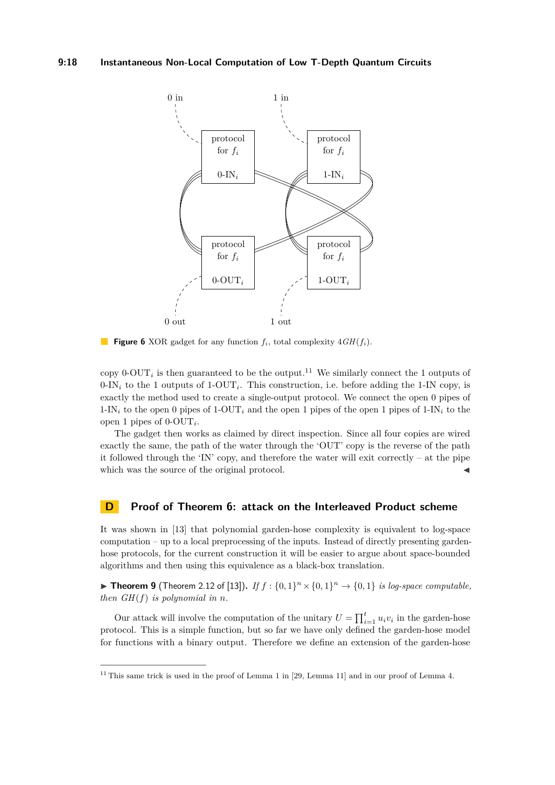<span id="page-18-1"></span>

**Figure 6** XOR gadget for any function *fi*, total complexity 4*GH*(*fi*).

copy  $0$ -OUT<sub>*i*</sub> is then guaranteed to be the output.<sup>[11](#page-18-2)</sup> We similarly connect the 1 outputs of  $0$ -IN<sub>i</sub> to the 1 outputs of 1-OUT<sub>i</sub>. This construction, i.e. before adding the 1-IN copy, is exactly the method used to create a single-output protocol. We connect the open 0 pipes of  $1-\text{IN}_i$  to the open 0 pipes of  $1-\text{OUT}_i$  and the open 1 pipes of the open 1 pipes of  $1-\text{IN}_i$  to the open 1 pipes of 0-OUT*<sup>i</sup>* .

The gadget then works as claimed by direct inspection. Since all four copies are wired exactly the same, the path of the water through the 'OUT' copy is the reverse of the path it followed through the 'IN' copy, and therefore the water will exit correctly – at the pipe which was the source of the original protocol.

#### <span id="page-18-0"></span>**D Proof of Theorem [6:](#page-14-1) attack on the Interleaved Product scheme**

It was shown in [\[13\]](#page-23-0) that polynomial garden-hose complexity is equivalent to log-space computation – up to a local preprocessing of the inputs. Instead of directly presenting gardenhose protocols, for the current construction it will be easier to argue about space-bounded algorithms and then using this equivalence as a black-box translation.

<span id="page-18-3"></span>▶ **Theorem 9** (Theorem 2.12 of [\[13\]](#page-23-0)). *If*  $f : \{0,1\}^n \times \{0,1\}^n \rightarrow \{0,1\}$  *is log-space computable, then*  $GH(f)$  *is polynomial in n.* 

Our attack will involve the computation of the unitary  $U = \prod_{i=1}^{t} u_i v_i$  in the garden-hose protocol. This is a simple function, but so far we have only defined the garden-hose model for functions with a binary output. Therefore we define an extension of the garden-hose

<span id="page-18-2"></span><sup>&</sup>lt;sup>11</sup> This same trick is used in the proof of Lemma [1](#page-6-0) in [\[29,](#page-24-7) Lemma 11] and in our proof of Lemma [4.](#page-9-0)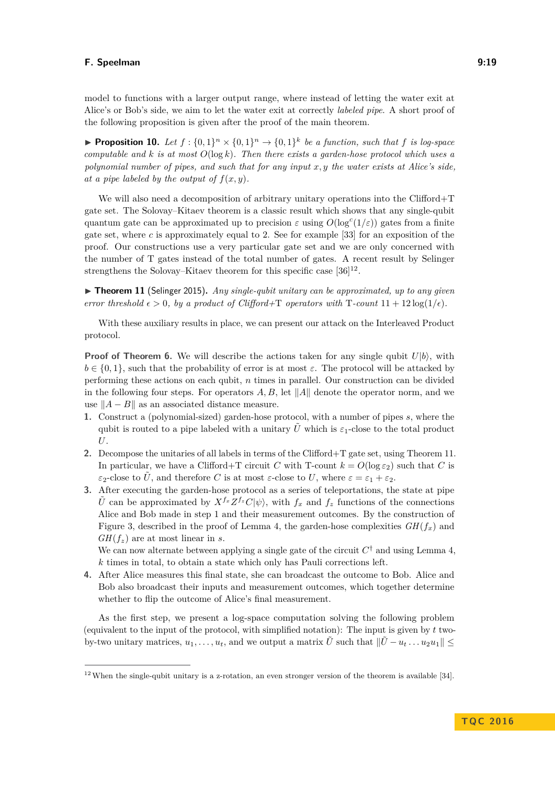model to functions with a larger output range, where instead of letting the water exit at Alice's or Bob's side, we aim to let the water exit at correctly *labeled pipe*. A short proof of the following proposition is given after the proof of the main theorem.

<span id="page-19-2"></span>**Proposition 10.** Let  $f: \{0,1\}^n \times \{0,1\}^n \rightarrow \{0,1\}^k$  be a function, such that f is log-space *computable and k is at most O*(log *k*)*. Then there exists a garden-hose protocol which uses a polynomial number of pipes, and such that for any input x, y the water exists at Alice's side, at a pipe labeled by the output of*  $f(x, y)$ *.* 

We will also need a decomposition of arbitrary unitary operations into the Clifford+T gate set. The Solovay–Kitaev theorem is a classic result which shows that any single-qubit quantum gate can be approximated up to precision  $\varepsilon$  using  $O(\log^c(1/\varepsilon))$  gates from a finite gate set, where *c* is approximately equal to 2. See for example [\[33\]](#page-24-14) for an exposition of the proof. Our constructions use a very particular gate set and we are only concerned with the number of T gates instead of the total number of gates. A recent result by Selinger strengthens the Solovay–Kitaev theorem for this specific case  $[36]^{12}$  $[36]^{12}$  $[36]^{12}$  $[36]^{12}$ .

<span id="page-19-1"></span>▶ Theorem 11 (Selinger 2015). *Any single-qubit unitary can be approximated, up to any given error threshold*  $\epsilon > 0$ *, by a product of Clifford+T operators with* T-count  $11 + 12 \log(1/\epsilon)$ .

With these auxiliary results in place, we can present our attack on the Interleaved Product protocol.

**Proof of Theorem [6.](#page-14-1)** We will describe the actions taken for any single qubit  $U|b\rangle$ , with  $b \in \{0,1\}$ , such that the probability of error is at most  $\varepsilon$ . The protocol will be attacked by performing these actions on each qubit, *n* times in parallel. Our construction can be divided in the following four steps. For operators  $A, B$ , let  $||A||$  denote the operator norm, and we use  $||A - B||$  as an associated distance measure.

- **1.** Construct a (polynomial-sized) garden-hose protocol, with a number of pipes *s*, where the qubit is routed to a pipe labeled with a unitary  $\tilde{U}$  which is  $\varepsilon_1$ -close to the total product *U*.
- **2.** Decompose the unitaries of all labels in terms of the Clifford+T gate set, using Theorem [11.](#page-19-1) In particular, we have a Clifford+T circuit *C* with T-count  $k = O(\log \epsilon_2)$  such that *C* is *ε*<sub>2</sub>-close to  $\tilde{U}$ , and therefore *C* is at most *ε*-close to *U*, where  $\varepsilon = \varepsilon_1 + \varepsilon_2$ .
- **3.** After executing the garden-hose protocol as a series of teleportations, the state at pipe  $\tilde{U}$  can be approximated by  $X^{f_x}Z^{f_z}C|\psi\rangle$ , with  $f_x$  and  $f_z$  functions of the connections Alice and Bob made in step 1 and their measurement outcomes. By the construction of Figure [3,](#page-11-0) described in the proof of Lemma [4,](#page-9-0) the garden-hose complexities  $GH(f<sub>r</sub>)$  and  $GH(f<sub>z</sub>)$  are at most linear in *s*.

We can now alternate between applying a single gate of the circuit  $C^{\dagger}$  and using Lemma [4,](#page-9-0) *k* times in total, to obtain a state which only has Pauli corrections left.

**4.** After Alice measures this final state, she can broadcast the outcome to Bob. Alice and Bob also broadcast their inputs and measurement outcomes, which together determine whether to flip the outcome of Alice's final measurement.

As the first step, we present a log-space computation solving the following problem (equivalent to the input of the protocol, with simplified notation): The input is given by *t* twoby-two unitary matrices,  $u_1, \ldots, u_t$ , and we output a matrix  $\tilde{U}$  such that  $\|\tilde{U} - u_t \ldots u_2 u_1\|$ 

<span id="page-19-0"></span> $12$  When the single-qubit unitary is a z-rotation, an even stronger version of the theorem is available [\[34\]](#page-24-11).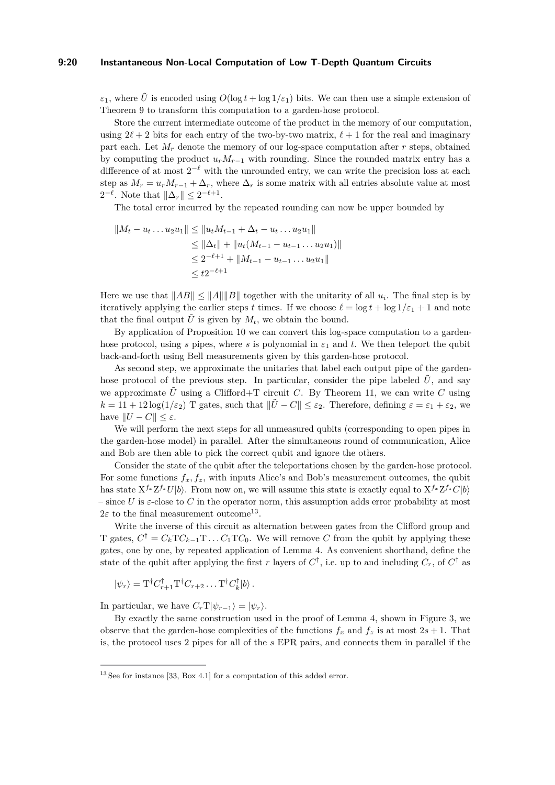#### **9:20 Instantaneous Non-Local Computation of Low T-Depth Quantum Circuits**

 $\varepsilon_1$ , where  $\tilde{U}$  is encoded using  $O(\log t + \log 1/\varepsilon_1)$  bits. We can then use a simple extension of Theorem [9](#page-18-3) to transform this computation to a garden-hose protocol.

Store the current intermediate outcome of the product in the memory of our computation, using  $2\ell + 2$  bits for each entry of the two-by-two matrix,  $\ell + 1$  for the real and imaginary part each. Let *M<sup>r</sup>* denote the memory of our log-space computation after *r* steps, obtained by computing the product  $u_r M_{r-1}$  with rounding. Since the rounded matrix entry has a difference of at most  $2^{-\ell}$  with the unrounded entry, we can write the precision loss at each step as  $M_r = u_r M_{r-1} + \Delta_r$ , where  $\Delta_r$  is some matrix with all entries absolute value at most  $2^{-\ell}$ . Note that  $\|\Delta_r\| \leq 2^{-\ell+1}$ .

The total error incurred by the repeated rounding can now be upper bounded by

$$
||M_t - u_t ... u_2 u_1|| \le ||u_t M_{t-1} + \Delta_t - u_t ... u_2 u_1||
$$
  
\n
$$
\le ||\Delta_t|| + ||u_t (M_{t-1} - u_{t-1} ... u_2 u_1)||
$$
  
\n
$$
\le 2^{-\ell+1} + ||M_{t-1} - u_{t-1} ... u_2 u_1||
$$
  
\n
$$
\le t2^{-\ell+1}
$$

Here we use that  $||AB|| \le ||A|| ||B||$  together with the unitarity of all  $u_i$ . The final step is by iteratively applying the earlier steps *t* times. If we choose  $\ell = \log t + \log 1/\varepsilon_1 + 1$  and note that the final output  $\tilde{U}$  is given by  $M_t$ , we obtain the bound.

By application of Proposition [10](#page-19-2) we can convert this log-space computation to a gardenhose protocol, using *s* pipes, where *s* is polynomial in  $\varepsilon_1$  and *t*. We then teleport the qubit back-and-forth using Bell measurements given by this garden-hose protocol.

As second step, we approximate the unitaries that label each output pipe of the gardenhose protocol of the previous step. In particular, consider the pipe labeled  $\tilde{U}$ , and say we approximate  $\tilde{U}$  using a Clifford+T circuit *C*. By Theorem [11,](#page-19-1) we can write *C* using  $k = 11 + 12 \log(1/\varepsilon_2)$  T gates, such that  $\|\tilde{U} - C\| < \varepsilon_2$ . Therefore, defining  $\varepsilon = \varepsilon_1 + \varepsilon_2$ , we have  $||U - C|| \leq \varepsilon$ .

We will perform the next steps for all unmeasured qubits (corresponding to open pipes in the garden-hose model) in parallel. After the simultaneous round of communication, Alice and Bob are then able to pick the correct qubit and ignore the others.

Consider the state of the qubit after the teleportations chosen by the garden-hose protocol. For some functions  $f_x, f_z$ , with inputs Alice's and Bob's measurement outcomes, the qubit has state  $X^{f_x}Z^{f_z}U|b\rangle$ . From now on, we will assume this state is exactly equal to  $X^{f_x}Z^{f_z}C|b\rangle$ – since *U* is  $\varepsilon$ -close to *C* in the operator norm, this assumption adds error probability at most  $2\varepsilon$  to the final measurement outcome<sup>[13](#page-20-0)</sup>.

Write the inverse of this circuit as alternation between gates from the Clifford group and T gates,  $C^{\dagger} = C_kTC_{k-1}T \dots C_1TC_0$ . We will remove *C* from the qubit by applying these gates, one by one, by repeated application of Lemma [4.](#page-9-0) As convenient shorthand, define the state of the qubit after applying the first *r* layers of  $C^{\dagger}$ , i.e. up to and including  $C_r$ , of  $C^{\dagger}$  as

$$
|\psi_r\rangle = \mathrm{T}^\dagger C_{r+1}^\dagger \mathrm{T}^\dagger C_{r+2} \dots \mathrm{T}^\dagger C_k^\dagger |b\rangle.
$$

In particular, we have  $C_r \text{T} |\psi_{r-1}\rangle = |\psi_r\rangle$ .

By exactly the same construction used in the proof of Lemma [4,](#page-9-0) shown in Figure [3,](#page-11-0) we observe that the garden-hose complexities of the functions  $f_x$  and  $f_z$  is at most  $2s + 1$ . That is, the protocol uses 2 pipes for all of the *s* EPR pairs, and connects them in parallel if the

<span id="page-20-0"></span><sup>&</sup>lt;sup>13</sup> See for instance [\[33,](#page-24-14) Box 4.1] for a computation of this added error.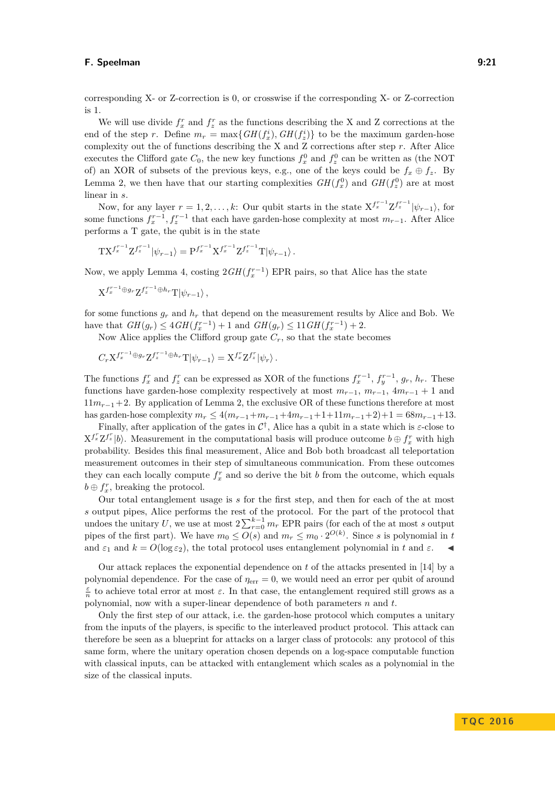corresponding X- or Z-correction is 0, or crosswise if the corresponding X- or Z-correction is 1.

We will use divide  $f_x^r$  and  $f_z^r$  as the functions describing the X and Z corrections at the end of the step *r*. Define  $m_r = \max\{GH(f_x^i), GH(f_z^i)\}\)$  to be the maximum garden-hose complexity out the of functions describing the X and Z corrections after step *r*. After Alice executes the Clifford gate  $C_0$ , the new key functions  $f_x^0$  and  $f_z^0$  can be written as (the NOT of) an XOR of subsets of the previous keys, e.g., one of the keys could be  $f_x \oplus f_z$ . By Lemma [2,](#page-6-1) we then have that our starting complexities  $GH(f_x^0)$  and  $GH(f_z^0)$  are at most linear in *s*.

Now, for any layer  $r = 1, 2, \ldots, k$ : Our qubit starts in the state  $X^{f_x^{r-1}} Z^{f_x^{r-1}} |\psi_{r-1}\rangle$ , for some functions  $f_x^{r-1}$ ,  $f_z^{r-1}$  that each have garden-hose complexity at most  $m_{r-1}$ . After Alice performs a T gate, the qubit is in the state

$$
TX^{f_x^{r-1}}Z^{f_z^{r-1}}|\psi_{r-1}\rangle = P^{f_x^{r-1}}X^{f_x^{r-1}}Z^{f_z^{r-1}}T|\psi_{r-1}\rangle.
$$

Now, we apply Lemma [4,](#page-9-0) costing  $2GH(f_x^{r-1})$  EPR pairs, so that Alice has the state

$$
X^{f_x^{r-1} \oplus g_r} Z^{f_z^{r-1} \oplus h_r} T |\psi_{r-1}\rangle ,
$$

for some functions  $g_r$  and  $h_r$  that depend on the measurement results by Alice and Bob. We have that  $GH(g_r) \leq 4GH(f_x^{r-1}) + 1$  and  $GH(g_r) \leq 11GH(f_x^{r-1}) + 2$ .

Now Alice applies the Clifford group gate  $C_r$ , so that the state becomes

$$
C_r {\mathrm X}^{f_x^{r-1} \oplus g_r} {\mathrm Z}^{f_z^{r-1} \oplus h_r} {\mathrm T} |\psi_{r-1}\rangle = {\mathrm X}^{f_x^r} {\mathrm Z}^{f_z^r} |\psi_r\rangle \,.
$$

The functions  $f_x^r$  and  $f_z^r$  can be expressed as XOR of the functions  $f_x^{r-1}$ ,  $f_y^{r-1}$ ,  $g_r$ ,  $h_r$ . These functions have garden-hose complexity respectively at most  $m_{r-1}$ ,  $m_{r-1}$ ,  $4m_{r-1} + 1$  and 11*mr*−1+2. By application of Lemma [2,](#page-6-1) the exclusive OR of these functions therefore at most has garden-hose complexity  $m_r \leq 4(m_{r-1}+m_{r-1}+4m_{r-1}+1+11m_{r-1}+2)+1 = 68m_{r-1}+13$ .

Finally, after application of the gates in  $\mathcal{C}^{\dagger}$ , Alice has a qubit in a state which is  $\varepsilon$ -close to  $X^{f_x^r}Z^{f_z^r}|b\rangle$ . Measurement in the computational basis will produce outcome  $b \oplus f_x^r$  with high probability. Besides this final measurement, Alice and Bob both broadcast all teleportation measurement outcomes in their step of simultaneous communication. From these outcomes they can each locally compute  $f_x^r$  and so derive the bit  $b$  from the outcome, which equals  $b \oplus f_x^r$ , breaking the protocol.

Our total entanglement usage is *s* for the first step, and then for each of the at most *s* output pipes, Alice performs the rest of the protocol. For the part of the protocol that undoes the unitary *U*, we use at most  $2\sum_{r=0}^{k-1} m_r$  EPR pairs (for each of the at most *s* output pipes of the first part). We have  $m_0 \leq O(s)$  and  $m_r \leq m_0 \cdot 2^{O(k)}$ . Since *s* is polynomial in *t* and  $\varepsilon_1$  and  $k = O(\log \varepsilon_2)$ , the total protocol uses entanglement polynomial in t and  $\varepsilon$ .

Our attack replaces the exponential dependence on *t* of the attacks presented in [\[14\]](#page-23-9) by a polynomial dependence. For the case of  $\eta_{\text{err}} = 0$ , we would need an error per qubit of around  $\frac{\varepsilon}{n}$  to achieve total error at most  $\varepsilon$ . In that case, the entanglement required still grows as a polynomial, now with a super-linear dependence of both parameters *n* and *t*.

Only the first step of our attack, i.e. the garden-hose protocol which computes a unitary from the inputs of the players, is specific to the interleaved product protocol. This attack can therefore be seen as a blueprint for attacks on a larger class of protocols: any protocol of this same form, where the unitary operation chosen depends on a log-space computable function with classical inputs, can be attacked with entanglement which scales as a polynomial in the size of the classical inputs.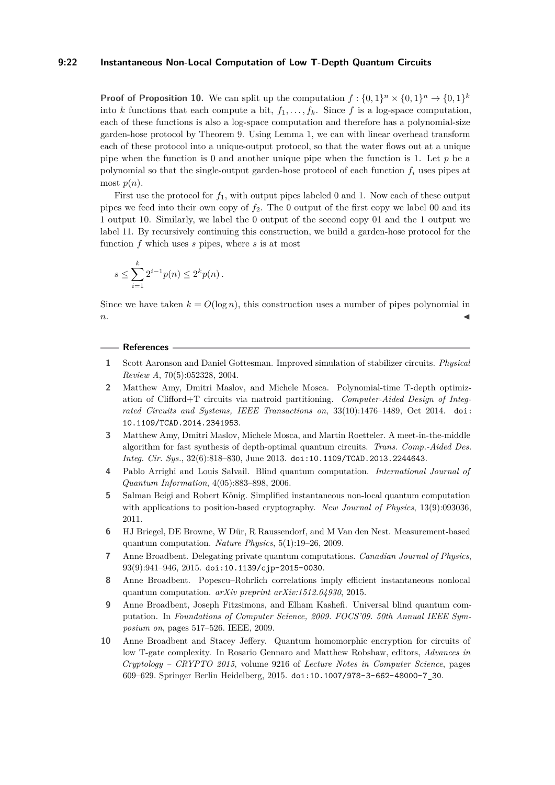#### **9:22 Instantaneous Non-Local Computation of Low T-Depth Quantum Circuits**

**Proof of Proposition [10.](#page-19-2)** We can split up the computation  $f: \{0,1\}^n \times \{0,1\}^n \rightarrow \{0,1\}^k$ into *k* functions that each compute a bit,  $f_1, \ldots, f_k$ . Since *f* is a log-space computation, each of these functions is also a log-space computation and therefore has a polynomial-size garden-hose protocol by Theorem [9.](#page-18-3) Using Lemma [1,](#page-6-0) we can with linear overhead transform each of these protocol into a unique-output protocol, so that the water flows out at a unique pipe when the function is 0 and another unique pipe when the function is 1. Let *p* be a polynomial so that the single-output garden-hose protocol of each function  $f_i$  uses pipes at most  $p(n)$ .

First use the protocol for *f*1, with output pipes labeled 0 and 1. Now each of these output pipes we feed into their own copy of  $f_2$ . The 0 output of the first copy we label 00 and its 1 output 10. Similarly, we label the 0 output of the second copy 01 and the 1 output we label 11. By recursively continuing this construction, we build a garden-hose protocol for the function *f* which uses *s* pipes, where *s* is at most

$$
s \le \sum_{i=1}^k 2^{i-1} p(n) \le 2^k p(n) .
$$

Since we have taken  $k = O(\log n)$ , this construction uses a number of pipes polynomial in  $n.$ 

#### **References**

- <span id="page-22-4"></span>**1** Scott Aaronson and Daniel Gottesman. Improved simulation of stabilizer circuits. *Physical Review A*, 70(5):052328, 2004.
- <span id="page-22-7"></span>**2** Matthew Amy, Dmitri Maslov, and Michele Mosca. Polynomial-time T-depth optimization of Clifford+T circuits via matroid partitioning. *Computer-Aided Design of Integrated Circuits and Systems, IEEE Transactions on*, 33(10):1476–1489, Oct 2014. [doi:](http://dx.doi.org/10.1109/TCAD.2014.2341953) [10.1109/TCAD.2014.2341953](http://dx.doi.org/10.1109/TCAD.2014.2341953).
- <span id="page-22-6"></span>**3** Matthew Amy, Dmitri Maslov, Michele Mosca, and Martin Roetteler. A meet-in-the-middle algorithm for fast synthesis of depth-optimal quantum circuits. *Trans. Comp.-Aided Des. Integ. Cir. Sys.*, 32(6):818–830, June 2013. [doi:10.1109/TCAD.2013.2244643](http://dx.doi.org/10.1109/TCAD.2013.2244643).
- <span id="page-22-2"></span>**4** Pablo Arrighi and Louis Salvail. Blind quantum computation. *International Journal of Quantum Information*, 4(05):883–898, 2006.
- <span id="page-22-0"></span>**5** Salman Beigi and Robert König. Simplified instantaneous non-local quantum computation with applications to position-based cryptography. *New Journal of Physics*, 13(9):093036, 2011.
- <span id="page-22-8"></span>**6** HJ Briegel, DE Browne, W Dür, R Raussendorf, and M Van den Nest. Measurement-based quantum computation. *Nature Physics*, 5(1):19–26, 2009.
- <span id="page-22-3"></span>**7** Anne Broadbent. Delegating private quantum computations. *Canadian Journal of Physics*, 93(9):941–946, 2015. [doi:10.1139/cjp-2015-0030](http://dx.doi.org/10.1139/cjp-2015-0030).
- <span id="page-22-1"></span>**8** Anne Broadbent. Popescu–Rohrlich correlations imply efficient instantaneous nonlocal quantum computation. *arXiv preprint arXiv:1512.04930*, 2015.
- <span id="page-22-9"></span>**9** Anne Broadbent, Joseph Fitzsimons, and Elham Kashefi. Universal blind quantum computation. In *Foundations of Computer Science, 2009. FOCS'09. 50th Annual IEEE Symposium on*, pages 517–526. IEEE, 2009.
- <span id="page-22-5"></span>**10** Anne Broadbent and Stacey Jeffery. Quantum homomorphic encryption for circuits of low T-gate complexity. In Rosario Gennaro and Matthew Robshaw, editors, *Advances in Cryptology – CRYPTO 2015*, volume 9216 of *Lecture Notes in Computer Science*, pages 609–629. Springer Berlin Heidelberg, 2015. [doi:10.1007/978-3-662-48000-7\\_30](http://dx.doi.org/10.1007/978-3-662-48000-7_30).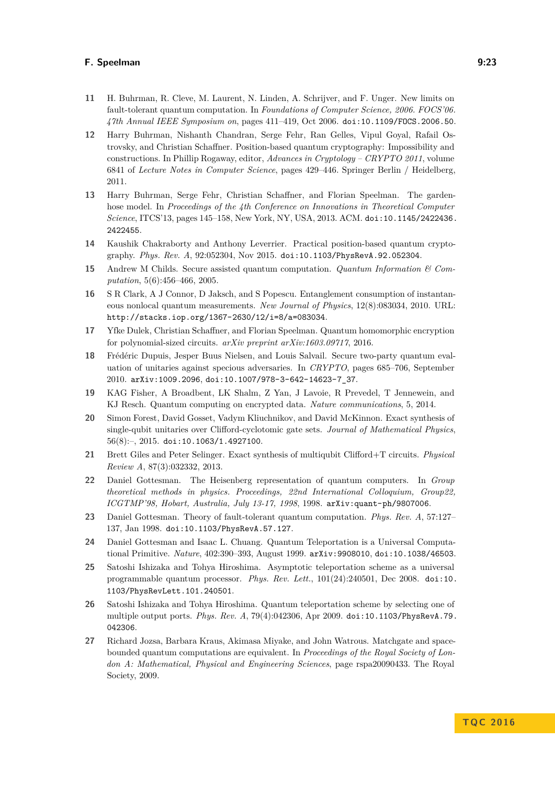- <span id="page-23-12"></span>**11** H. Buhrman, R. Cleve, M. Laurent, N. Linden, A. Schrijver, and F. Unger. New limits on fault-tolerant quantum computation. In *Foundations of Computer Science, 2006. FOCS'06. 47th Annual IEEE Symposium on*, pages 411–419, Oct 2006. [doi:10.1109/FOCS.2006.50](http://dx.doi.org/10.1109/FOCS.2006.50).
- <span id="page-23-1"></span>**12** Harry Buhrman, Nishanth Chandran, Serge Fehr, Ran Gelles, Vipul Goyal, Rafail Ostrovsky, and Christian Schaffner. Position-based quantum cryptography: Impossibility and constructions. In Phillip Rogaway, editor, *Advances in Cryptology – CRYPTO 2011*, volume 6841 of *Lecture Notes in Computer Science*, pages 429–446. Springer Berlin / Heidelberg, 2011.
- <span id="page-23-0"></span>**13** Harry Buhrman, Serge Fehr, Christian Schaffner, and Florian Speelman. The gardenhose model. In *Proceedings of the 4th Conference on Innovations in Theoretical Computer Science*, ITCS'13, pages 145–158, New York, NY, USA, 2013. ACM. [doi:10.1145/2422436.](http://dx.doi.org/10.1145/2422436.2422455) [2422455](http://dx.doi.org/10.1145/2422436.2422455).
- <span id="page-23-9"></span>**14** Kaushik Chakraborty and Anthony Leverrier. Practical position-based quantum cryptography. *Phys. Rev. A*, 92:052304, Nov 2015. [doi:10.1103/PhysRevA.92.052304](http://dx.doi.org/10.1103/PhysRevA.92.052304).
- <span id="page-23-5"></span>**15** Andrew M Childs. Secure assisted quantum computation. *Quantum Information & Computation*, 5(6):456–466, 2005.
- <span id="page-23-2"></span>**16** S R Clark, A J Connor, D Jaksch, and S Popescu. Entanglement consumption of instantaneous nonlocal quantum measurements. *New Journal of Physics*, 12(8):083034, 2010. URL: <http://stacks.iop.org/1367-2630/12/i=8/a=083034>.
- <span id="page-23-16"></span>**17** Yfke Dulek, Christian Schaffner, and Florian Speelman. Quantum homomorphic encryption for polynomial-sized circuits. *arXiv preprint arXiv:1603.09717*, 2016.
- <span id="page-23-6"></span>**18** Frédéric Dupuis, Jesper Buus Nielsen, and Louis Salvail. Secure two-party quantum evaluation of unitaries against specious adversaries. In *CRYPTO*, pages 685–706, September 2010. [arXiv:1009.2096](http://arxiv.org/abs/1009.2096), [doi:10.1007/978-3-642-14623-7\\_37](http://dx.doi.org/10.1007/978-3-642-14623-7_37).
- <span id="page-23-7"></span>**19** KAG Fisher, A Broadbent, LK Shalm, Z Yan, J Lavoie, R Prevedel, T Jennewein, and KJ Resch. Quantum computing on encrypted data. *Nature communications*, 5, 2014.
- <span id="page-23-14"></span>**20** Simon Forest, David Gosset, Vadym Kliuchnikov, and David McKinnon. Exact synthesis of single-qubit unitaries over Clifford-cyclotomic gate sets. *Journal of Mathematical Physics*,  $56(8)$ :-, 2015. [doi:10.1063/1.4927100](http://dx.doi.org/10.1063/1.4927100).
- <span id="page-23-13"></span>**21** Brett Giles and Peter Selinger. Exact synthesis of multiqubit Clifford+T circuits. *Physical Review A*, 87(3):032332, 2013.
- <span id="page-23-11"></span>**22** Daniel Gottesman. The Heisenberg representation of quantum computers. In *Group theoretical methods in physics. Proceedings, 22nd International Colloquium, Group22, ICGTMP'98, Hobart, Australia, July 13-17, 1998*, 1998. [arXiv:quant-ph/9807006](http://arxiv.org/abs/quant-ph/9807006).
- <span id="page-23-10"></span>**23** Daniel Gottesman. Theory of fault-tolerant quantum computation. *Phys. Rev. A*, 57:127– 137, Jan 1998. [doi:10.1103/PhysRevA.57.127](http://dx.doi.org/10.1103/PhysRevA.57.127).
- <span id="page-23-8"></span>**24** Daniel Gottesman and Isaac L. Chuang. Quantum Teleportation is a Universal Computational Primitive. *Nature*, 402:390–393, August 1999. [arXiv:9908010](http://arxiv.org/abs/9908010), [doi:10.1038/46503](http://dx.doi.org/10.1038/46503).
- <span id="page-23-3"></span>**25** Satoshi Ishizaka and Tohya Hiroshima. Asymptotic teleportation scheme as a universal programmable quantum processor. *Phys. Rev. Lett.*, 101(24):240501, Dec 2008. [doi:10.](http://dx.doi.org/10.1103/PhysRevLett.101.240501) [1103/PhysRevLett.101.240501](http://dx.doi.org/10.1103/PhysRevLett.101.240501).
- <span id="page-23-4"></span>**26** Satoshi Ishizaka and Tohya Hiroshima. Quantum teleportation scheme by selecting one of multiple output ports. *Phys. Rev. A*, 79(4):042306, Apr 2009. [doi:10.1103/PhysRevA.79.](http://dx.doi.org/10.1103/PhysRevA.79.042306) [042306](http://dx.doi.org/10.1103/PhysRevA.79.042306).
- <span id="page-23-15"></span>**27** Richard Jozsa, Barbara Kraus, Akimasa Miyake, and John Watrous. Matchgate and spacebounded quantum computations are equivalent. In *Proceedings of the Royal Society of London A: Mathematical, Physical and Engineering Sciences*, page rspa20090433. The Royal Society, 2009.